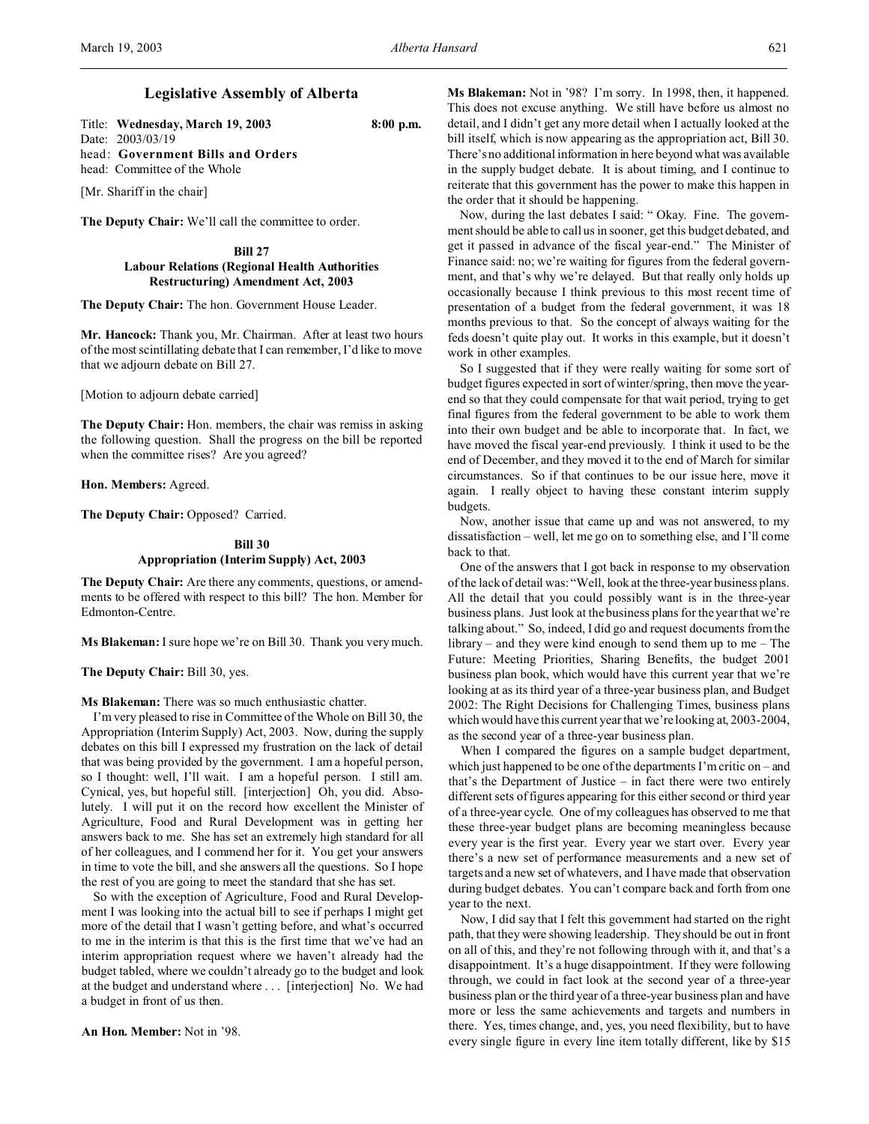# **Legislative Assembly of Alberta**

Title: **Wednesday, March 19, 2003 8:00 p.m.** Date: 2003/03/19 head: **Government Bills and Orders** head: Committee of the Whole

[Mr. Shariff in the chair]

**The Deputy Chair:** We'll call the committee to order.

**Bill 27 Labour Relations (Regional Health Authorities Restructuring) Amendment Act, 2003**

**The Deputy Chair:** The hon. Government House Leader.

**Mr. Hancock:** Thank you, Mr. Chairman. After at least two hours of the most scintillating debate that I can remember, I'd like to move that we adjourn debate on Bill 27.

[Motion to adjourn debate carried]

**The Deputy Chair:** Hon. members, the chair was remiss in asking the following question. Shall the progress on the bill be reported when the committee rises? Are you agreed?

**Hon. Members:** Agreed.

The Deputy Chair: Opposed? Carried.

# **Bill 30 Appropriation (Interim Supply) Act, 2003**

**The Deputy Chair:** Are there any comments, questions, or amendments to be offered with respect to this bill? The hon. Member for Edmonton-Centre.

**Ms Blakeman:** I sure hope we're on Bill 30. Thank you very much.

**The Deputy Chair:** Bill 30, yes.

**Ms Blakeman:** There was so much enthusiastic chatter.

I'm very pleased to rise in Committee of the Whole on Bill 30, the Appropriation (Interim Supply) Act, 2003. Now, during the supply debates on this bill I expressed my frustration on the lack of detail that was being provided by the government. I am a hopeful person, so I thought: well, I'll wait. I am a hopeful person. I still am. Cynical, yes, but hopeful still. [interjection] Oh, you did. Absolutely. I will put it on the record how excellent the Minister of Agriculture, Food and Rural Development was in getting her answers back to me. She has set an extremely high standard for all of her colleagues, and I commend her for it. You get your answers in time to vote the bill, and she answers all the questions. So I hope the rest of you are going to meet the standard that she has set.

So with the exception of Agriculture, Food and Rural Development I was looking into the actual bill to see if perhaps I might get more of the detail that I wasn't getting before, and what's occurred to me in the interim is that this is the first time that we've had an interim appropriation request where we haven't already had the budget tabled, where we couldn't already go to the budget and look at the budget and understand where . . . [interjection] No. We had a budget in front of us then.

**An Hon. Member:** Not in '98.

**Ms Blakeman:** Not in '98? I'm sorry. In 1998, then, it happened. This does not excuse anything. We still have before us almost no detail, and I didn't get any more detail when I actually looked at the bill itself, which is now appearing as the appropriation act, Bill 30. There's no additional information in here beyond what was available in the supply budget debate. It is about timing, and I continue to reiterate that this government has the power to make this happen in the order that it should be happening.

Now, during the last debates I said: " Okay. Fine. The government should be able to call us in sooner, get this budget debated, and get it passed in advance of the fiscal year-end." The Minister of Finance said: no; we're waiting for figures from the federal government, and that's why we're delayed. But that really only holds up occasionally because I think previous to this most recent time of presentation of a budget from the federal government, it was 18 months previous to that. So the concept of always waiting for the feds doesn't quite play out. It works in this example, but it doesn't work in other examples.

So I suggested that if they were really waiting for some sort of budget figures expected in sort of winter/spring, then move the yearend so that they could compensate for that wait period, trying to get final figures from the federal government to be able to work them into their own budget and be able to incorporate that. In fact, we have moved the fiscal year-end previously. I think it used to be the end of December, and they moved it to the end of March for similar circumstances. So if that continues to be our issue here, move it again. I really object to having these constant interim supply budgets.

Now, another issue that came up and was not answered, to my dissatisfaction – well, let me go on to something else, and I'll come back to that.

One of the answers that I got back in response to my observation of the lack of detail was: "Well, look at the three-year business plans. All the detail that you could possibly want is in the three-year business plans. Just look at the business plans for the year that we're talking about." So, indeed, I did go and request documents from the library – and they were kind enough to send them up to me – The Future: Meeting Priorities, Sharing Benefits, the budget 2001 business plan book, which would have this current year that we're looking at as its third year of a three-year business plan, and Budget 2002: The Right Decisions for Challenging Times, business plans which would have this current year that we're looking at, 2003-2004, as the second year of a three-year business plan.

When I compared the figures on a sample budget department, which just happened to be one of the departments I'm critic on – and that's the Department of Justice – in fact there were two entirely different sets of figures appearing for this either second or third year of a three-year cycle. One of my colleagues has observed to me that these three-year budget plans are becoming meaningless because every year is the first year. Every year we start over. Every year there's a new set of performance measurements and a new set of targets and a new set of whatevers, and I have made that observation during budget debates. You can't compare back and forth from one year to the next.

Now, I did say that I felt this government had started on the right path, that they were showing leadership. They should be out in front on all of this, and they're not following through with it, and that's a disappointment. It's a huge disappointment. If they were following through, we could in fact look at the second year of a three-year business plan or the third year of a three-year business plan and have more or less the same achievements and targets and numbers in there. Yes, times change, and, yes, you need flexibility, but to have every single figure in every line item totally different, like by \$15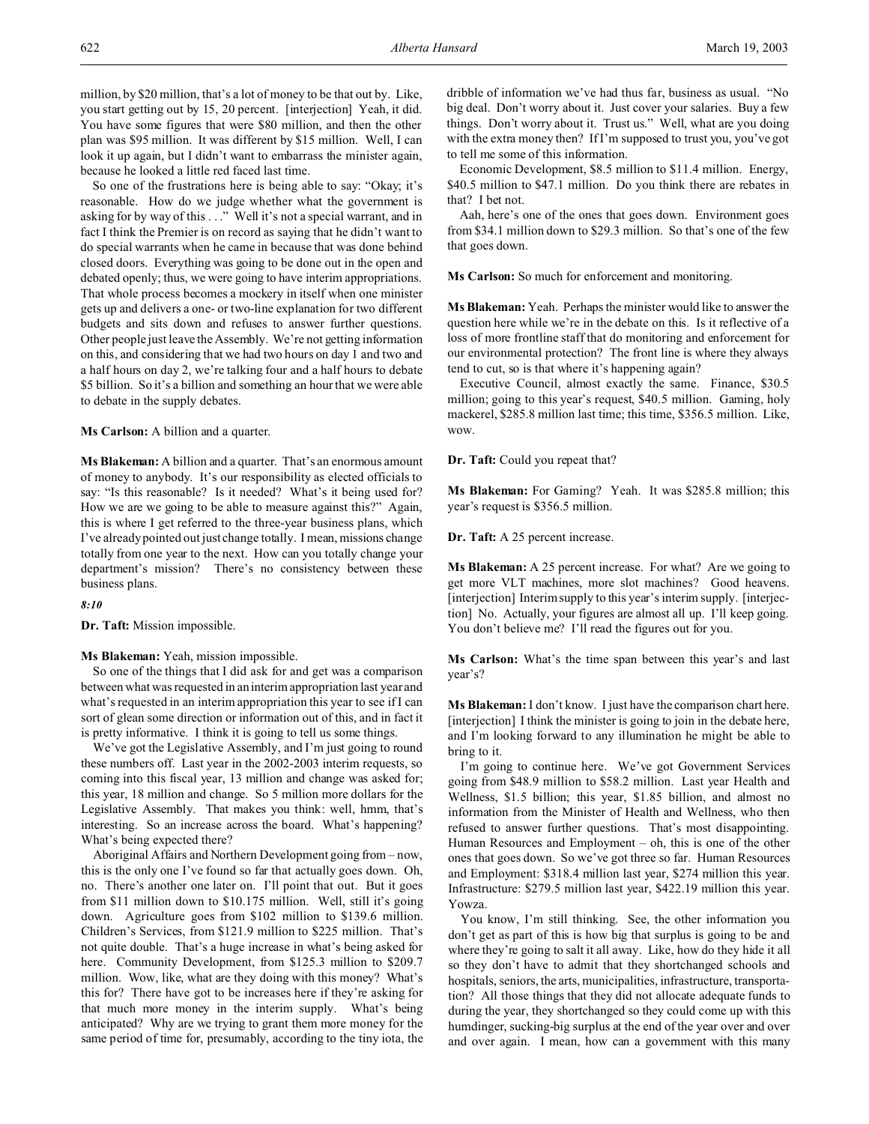million, by \$20 million, that's a lot of money to be that out by. Like, you start getting out by 15, 20 percent. [interjection] Yeah, it did. You have some figures that were \$80 million, and then the other plan was \$95 million. It was different by \$15 million. Well, I can look it up again, but I didn't want to embarrass the minister again, because he looked a little red faced last time.

So one of the frustrations here is being able to say: "Okay; it's reasonable. How do we judge whether what the government is asking for by way of this . . ." Well it's not a special warrant, and in fact I think the Premier is on record as saying that he didn't want to do special warrants when he came in because that was done behind closed doors. Everything was going to be done out in the open and debated openly; thus, we were going to have interim appropriations. That whole process becomes a mockery in itself when one minister gets up and delivers a one- or two-line explanation for two different budgets and sits down and refuses to answer further questions. Other people just leave the Assembly. We're not getting information on this, and considering that we had two hours on day 1 and two and a half hours on day 2, we're talking four and a half hours to debate \$5 billion. So it's a billion and something an hour that we were able to debate in the supply debates.

**Ms Carlson:** A billion and a quarter.

**Ms Blakeman:** A billion and a quarter. That's an enormous amount of money to anybody. It's our responsibility as elected officials to say: "Is this reasonable? Is it needed? What's it being used for? How we are we going to be able to measure against this?" Again, this is where I get referred to the three-year business plans, which I've already pointed out just change totally. I mean, missions change totally from one year to the next. How can you totally change your department's mission? There's no consistency between these business plans.

#### *8:10*

**Dr. Taft:** Mission impossible.

### **Ms Blakeman:** Yeah, mission impossible.

So one of the things that I did ask for and get was a comparison between what was requested in an interim appropriation last year and what's requested in an interim appropriation this year to see if I can sort of glean some direction or information out of this, and in fact it is pretty informative. I think it is going to tell us some things.

We've got the Legislative Assembly, and I'm just going to round these numbers off. Last year in the 2002-2003 interim requests, so coming into this fiscal year, 13 million and change was asked for; this year, 18 million and change. So 5 million more dollars for the Legislative Assembly. That makes you think: well, hmm, that's interesting. So an increase across the board. What's happening? What's being expected there?

Aboriginal Affairs and Northern Development going from – now, this is the only one I've found so far that actually goes down. Oh, no. There's another one later on. I'll point that out. But it goes from \$11 million down to \$10.175 million. Well, still it's going down. Agriculture goes from \$102 million to \$139.6 million. Children's Services, from \$121.9 million to \$225 million. That's not quite double. That's a huge increase in what's being asked for here. Community Development, from \$125.3 million to \$209.7 million. Wow, like, what are they doing with this money? What's this for? There have got to be increases here if they're asking for that much more money in the interim supply. What's being anticipated? Why are we trying to grant them more money for the same period of time for, presumably, according to the tiny iota, the dribble of information we've had thus far, business as usual. "No big deal. Don't worry about it. Just cover your salaries. Buy a few things. Don't worry about it. Trust us." Well, what are you doing with the extra money then? If I'm supposed to trust you, you've got to tell me some of this information.

Economic Development, \$8.5 million to \$11.4 million. Energy, \$40.5 million to \$47.1 million. Do you think there are rebates in that? I bet not.

Aah, here's one of the ones that goes down. Environment goes from \$34.1 million down to \$29.3 million. So that's one of the few that goes down.

**Ms Carlson:** So much for enforcement and monitoring.

**Ms Blakeman:** Yeah. Perhaps the minister would like to answer the question here while we're in the debate on this. Is it reflective of a loss of more frontline staff that do monitoring and enforcement for our environmental protection? The front line is where they always tend to cut, so is that where it's happening again?

Executive Council, almost exactly the same. Finance, \$30.5 million; going to this year's request, \$40.5 million. Gaming, holy mackerel, \$285.8 million last time; this time, \$356.5 million. Like, wow.

**Dr. Taft:** Could you repeat that?

**Ms Blakeman:** For Gaming? Yeah. It was \$285.8 million; this year's request is \$356.5 million.

**Dr. Taft:** A 25 percent increase.

**Ms Blakeman:** A 25 percent increase. For what? Are we going to get more VLT machines, more slot machines? Good heavens. [interjection] Interim supply to this year's interim supply. [interjection] No. Actually, your figures are almost all up. I'll keep going. You don't believe me? I'll read the figures out for you.

**Ms Carlson:** What's the time span between this year's and last year's?

**Ms Blakeman:** I don't know. I just have the comparison chart here. [interjection] I think the minister is going to join in the debate here, and I'm looking forward to any illumination he might be able to bring to it.

I'm going to continue here. We've got Government Services going from \$48.9 million to \$58.2 million. Last year Health and Wellness, \$1.5 billion; this year, \$1.85 billion, and almost no information from the Minister of Health and Wellness, who then refused to answer further questions. That's most disappointing. Human Resources and Employment – oh, this is one of the other ones that goes down. So we've got three so far. Human Resources and Employment: \$318.4 million last year, \$274 million this year. Infrastructure: \$279.5 million last year, \$422.19 million this year. Yowza.

You know, I'm still thinking. See, the other information you don't get as part of this is how big that surplus is going to be and where they're going to salt it all away. Like, how do they hide it all so they don't have to admit that they shortchanged schools and hospitals, seniors, the arts, municipalities, infrastructure, transportation? All those things that they did not allocate adequate funds to during the year, they shortchanged so they could come up with this humdinger, sucking-big surplus at the end of the year over and over and over again. I mean, how can a government with this many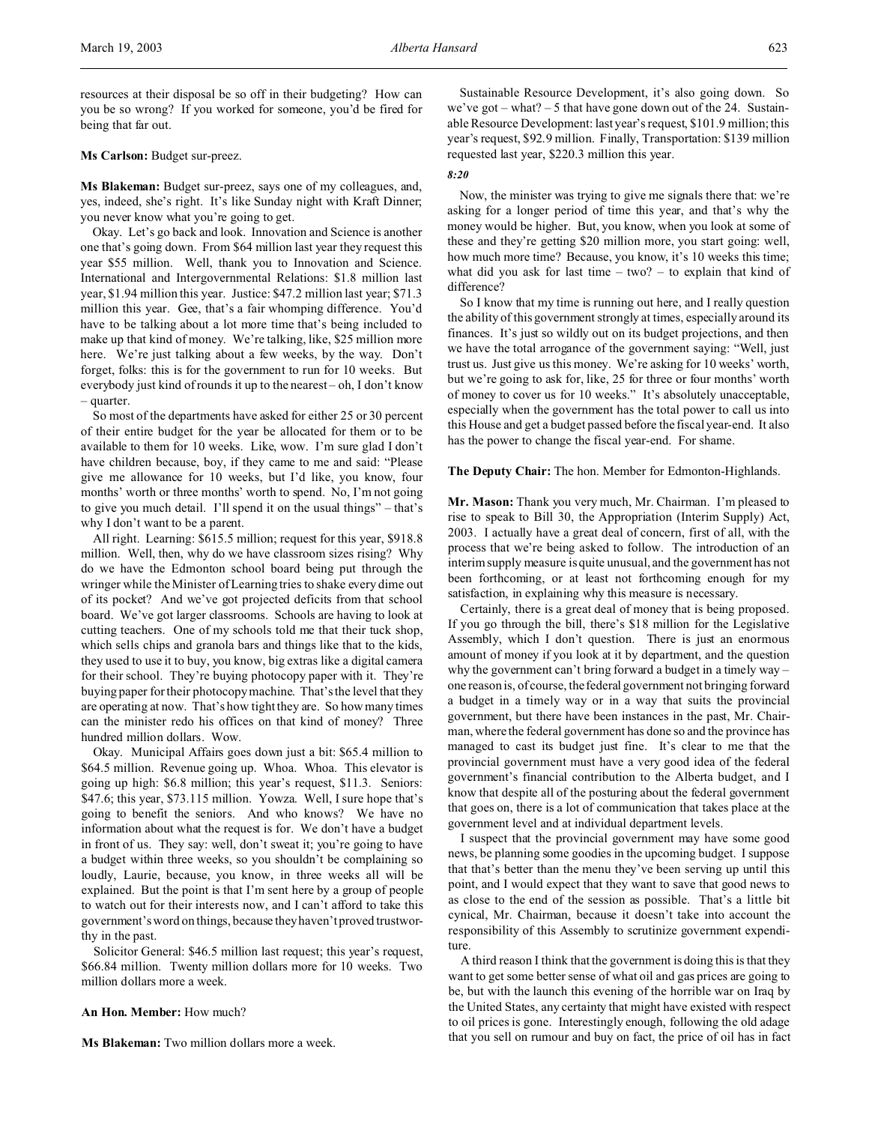resources at their disposal be so off in their budgeting? How can you be so wrong? If you worked for someone, you'd be fired for being that far out.

## **Ms Carlson:** Budget sur-preez.

**Ms Blakeman:** Budget sur-preez, says one of my colleagues, and, yes, indeed, she's right. It's like Sunday night with Kraft Dinner; you never know what you're going to get.

Okay. Let's go back and look. Innovation and Science is another one that's going down. From \$64 million last year they request this year \$55 million. Well, thank you to Innovation and Science. International and Intergovernmental Relations: \$1.8 million last year, \$1.94 million this year. Justice: \$47.2 million last year; \$71.3 million this year. Gee, that's a fair whomping difference. You'd have to be talking about a lot more time that's being included to make up that kind of money. We're talking, like, \$25 million more here. We're just talking about a few weeks, by the way. Don't forget, folks: this is for the government to run for 10 weeks. But everybody just kind of rounds it up to the nearest – oh, I don't know – quarter.

So most of the departments have asked for either 25 or 30 percent of their entire budget for the year be allocated for them or to be available to them for 10 weeks. Like, wow. I'm sure glad I don't have children because, boy, if they came to me and said: "Please give me allowance for 10 weeks, but I'd like, you know, four months' worth or three months' worth to spend. No, I'm not going to give you much detail. I'll spend it on the usual things" – that's why I don't want to be a parent.

All right. Learning: \$615.5 million; request for this year, \$918.8 million. Well, then, why do we have classroom sizes rising? Why do we have the Edmonton school board being put through the wringer while the Minister of Learning tries to shake every dime out of its pocket? And we've got projected deficits from that school board. We've got larger classrooms. Schools are having to look at cutting teachers. One of my schools told me that their tuck shop, which sells chips and granola bars and things like that to the kids, they used to use it to buy, you know, big extras like a digital camera for their school. They're buying photocopy paper with it. They're buying paper for their photocopy machine. That's the level that they are operating at now. That's how tight they are. So how many times can the minister redo his offices on that kind of money? Three hundred million dollars. Wow.

Okay. Municipal Affairs goes down just a bit: \$65.4 million to \$64.5 million. Revenue going up. Whoa. Whoa. This elevator is going up high: \$6.8 million; this year's request, \$11.3. Seniors: \$47.6; this year, \$73.115 million. Yowza. Well, I sure hope that's going to benefit the seniors. And who knows? We have no information about what the request is for. We don't have a budget in front of us. They say: well, don't sweat it; you're going to have a budget within three weeks, so you shouldn't be complaining so loudly, Laurie, because, you know, in three weeks all will be explained. But the point is that I'm sent here by a group of people to watch out for their interests now, and I can't afford to take this government's word on things, because they haven't proved trustworthy in the past.

Solicitor General: \$46.5 million last request; this year's request, \$66.84 million. Twenty million dollars more for 10 weeks. Two million dollars more a week.

### **An Hon. Member:** How much?

**Ms Blakeman:** Two million dollars more a week.

Sustainable Resource Development, it's also going down. So we've got – what?  $-5$  that have gone down out of the 24. Sustainable Resource Development: last year's request, \$101.9 million; this year's request, \$92.9 million. Finally, Transportation: \$139 million requested last year, \$220.3 million this year.

## *8:20*

Now, the minister was trying to give me signals there that: we're asking for a longer period of time this year, and that's why the money would be higher. But, you know, when you look at some of these and they're getting \$20 million more, you start going: well, how much more time? Because, you know, it's 10 weeks this time; what did you ask for last time  $-$  two?  $-$  to explain that kind of difference?

So I know that my time is running out here, and I really question the ability of this government strongly at times, especially around its finances. It's just so wildly out on its budget projections, and then we have the total arrogance of the government saying: "Well, just trust us. Just give us this money. We're asking for 10 weeks' worth, but we're going to ask for, like, 25 for three or four months' worth of money to cover us for 10 weeks." It's absolutely unacceptable, especially when the government has the total power to call us into this House and get a budget passed before the fiscal year-end. It also has the power to change the fiscal year-end. For shame.

### **The Deputy Chair:** The hon. Member for Edmonton-Highlands.

**Mr. Mason:** Thank you very much, Mr. Chairman. I'm pleased to rise to speak to Bill 30, the Appropriation (Interim Supply) Act, 2003. I actually have a great deal of concern, first of all, with the process that we're being asked to follow. The introduction of an interim supply measure is quite unusual, and the government has not been forthcoming, or at least not forthcoming enough for my satisfaction, in explaining why this measure is necessary.

Certainly, there is a great deal of money that is being proposed. If you go through the bill, there's \$18 million for the Legislative Assembly, which I don't question. There is just an enormous amount of money if you look at it by department, and the question why the government can't bring forward a budget in a timely way – one reason is, of course, the federal government not bringing forward a budget in a timely way or in a way that suits the provincial government, but there have been instances in the past, Mr. Chairman, where the federal government has done so and the province has managed to cast its budget just fine. It's clear to me that the provincial government must have a very good idea of the federal government's financial contribution to the Alberta budget, and I know that despite all of the posturing about the federal government that goes on, there is a lot of communication that takes place at the government level and at individual department levels.

I suspect that the provincial government may have some good news, be planning some goodies in the upcoming budget. I suppose that that's better than the menu they've been serving up until this point, and I would expect that they want to save that good news to as close to the end of the session as possible. That's a little bit cynical, Mr. Chairman, because it doesn't take into account the responsibility of this Assembly to scrutinize government expenditure.

A third reason I think that the government is doing this is that they want to get some better sense of what oil and gas prices are going to be, but with the launch this evening of the horrible war on Iraq by the United States, any certainty that might have existed with respect to oil prices is gone. Interestingly enough, following the old adage that you sell on rumour and buy on fact, the price of oil has in fact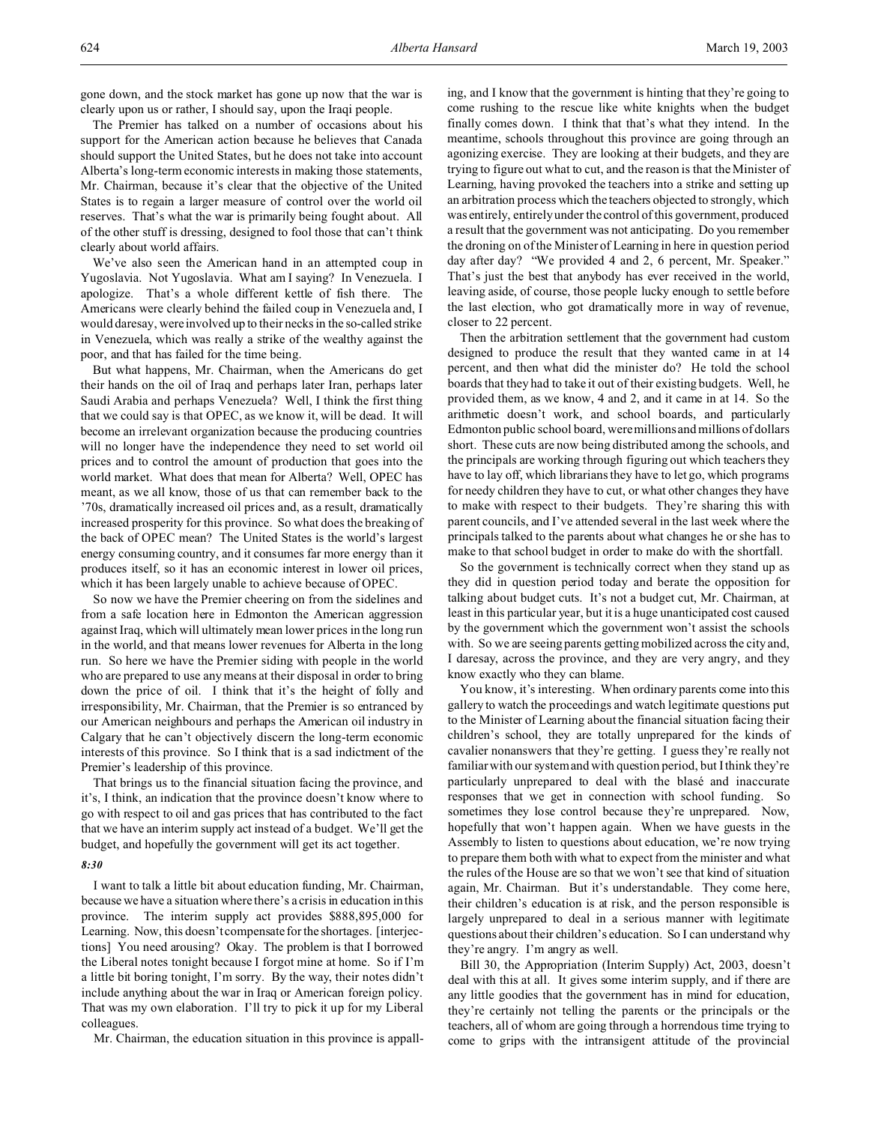gone down, and the stock market has gone up now that the war is clearly upon us or rather, I should say, upon the Iraqi people.

The Premier has talked on a number of occasions about his support for the American action because he believes that Canada should support the United States, but he does not take into account Alberta's long-term economic interests in making those statements, Mr. Chairman, because it's clear that the objective of the United States is to regain a larger measure of control over the world oil reserves. That's what the war is primarily being fought about. All of the other stuff is dressing, designed to fool those that can't think clearly about world affairs.

We've also seen the American hand in an attempted coup in Yugoslavia. Not Yugoslavia. What am I saying? In Venezuela. I apologize. That's a whole different kettle of fish there. The Americans were clearly behind the failed coup in Venezuela and, I would daresay, were involved up to their necks in the so-called strike in Venezuela, which was really a strike of the wealthy against the poor, and that has failed for the time being.

But what happens, Mr. Chairman, when the Americans do get their hands on the oil of Iraq and perhaps later Iran, perhaps later Saudi Arabia and perhaps Venezuela? Well, I think the first thing that we could say is that OPEC, as we know it, will be dead. It will become an irrelevant organization because the producing countries will no longer have the independence they need to set world oil prices and to control the amount of production that goes into the world market. What does that mean for Alberta? Well, OPEC has meant, as we all know, those of us that can remember back to the '70s, dramatically increased oil prices and, as a result, dramatically increased prosperity for this province. So what does the breaking of the back of OPEC mean? The United States is the world's largest energy consuming country, and it consumes far more energy than it produces itself, so it has an economic interest in lower oil prices, which it has been largely unable to achieve because of OPEC.

So now we have the Premier cheering on from the sidelines and from a safe location here in Edmonton the American aggression against Iraq, which will ultimately mean lower prices in the long run in the world, and that means lower revenues for Alberta in the long run. So here we have the Premier siding with people in the world who are prepared to use any means at their disposal in order to bring down the price of oil. I think that it's the height of folly and irresponsibility, Mr. Chairman, that the Premier is so entranced by our American neighbours and perhaps the American oil industry in Calgary that he can't objectively discern the long-term economic interests of this province. So I think that is a sad indictment of the Premier's leadership of this province.

That brings us to the financial situation facing the province, and it's, I think, an indication that the province doesn't know where to go with respect to oil and gas prices that has contributed to the fact that we have an interim supply act instead of a budget. We'll get the budget, and hopefully the government will get its act together.

## *8:30*

I want to talk a little bit about education funding, Mr. Chairman, because we have a situation where there's a crisis in education in this province. The interim supply act provides \$888,895,000 for Learning. Now, this doesn't compensate for the shortages. [interjections] You need arousing? Okay. The problem is that I borrowed the Liberal notes tonight because I forgot mine at home. So if I'm a little bit boring tonight, I'm sorry. By the way, their notes didn't include anything about the war in Iraq or American foreign policy. That was my own elaboration. I'll try to pick it up for my Liberal colleagues.

Mr. Chairman, the education situation in this province is appall-

ing, and I know that the government is hinting that they're going to come rushing to the rescue like white knights when the budget finally comes down. I think that that's what they intend. In the meantime, schools throughout this province are going through an agonizing exercise. They are looking at their budgets, and they are trying to figure out what to cut, and the reason is that the Minister of Learning, having provoked the teachers into a strike and setting up an arbitration process which the teachers objected to strongly, which was entirely, entirely under the control of this government, produced a result that the government was not anticipating. Do you remember the droning on of the Minister of Learning in here in question period day after day? "We provided 4 and 2, 6 percent, Mr. Speaker." That's just the best that anybody has ever received in the world, leaving aside, of course, those people lucky enough to settle before the last election, who got dramatically more in way of revenue, closer to 22 percent.

Then the arbitration settlement that the government had custom designed to produce the result that they wanted came in at 14 percent, and then what did the minister do? He told the school boards that they had to take it out of their existing budgets. Well, he provided them, as we know, 4 and 2, and it came in at 14. So the arithmetic doesn't work, and school boards, and particularly Edmonton public school board, were millions and millions of dollars short. These cuts are now being distributed among the schools, and the principals are working through figuring out which teachers they have to lay off, which librarians they have to let go, which programs for needy children they have to cut, or what other changes they have to make with respect to their budgets. They're sharing this with parent councils, and I've attended several in the last week where the principals talked to the parents about what changes he or she has to make to that school budget in order to make do with the shortfall.

So the government is technically correct when they stand up as they did in question period today and berate the opposition for talking about budget cuts. It's not a budget cut, Mr. Chairman, at least in this particular year, but it is a huge unanticipated cost caused by the government which the government won't assist the schools with. So we are seeing parents getting mobilized across the city and, I daresay, across the province, and they are very angry, and they know exactly who they can blame.

You know, it's interesting. When ordinary parents come into this gallery to watch the proceedings and watch legitimate questions put to the Minister of Learning about the financial situation facing their children's school, they are totally unprepared for the kinds of cavalier nonanswers that they're getting. I guess they're really not familiar with our system and with question period, but I think they're particularly unprepared to deal with the blasé and inaccurate responses that we get in connection with school funding. So sometimes they lose control because they're unprepared. Now, hopefully that won't happen again. When we have guests in the Assembly to listen to questions about education, we're now trying to prepare them both with what to expect from the minister and what the rules of the House are so that we won't see that kind of situation again, Mr. Chairman. But it's understandable. They come here, their children's education is at risk, and the person responsible is largely unprepared to deal in a serious manner with legitimate questions about their children's education. So I can understand why they're angry. I'm angry as well.

Bill 30, the Appropriation (Interim Supply) Act, 2003, doesn't deal with this at all. It gives some interim supply, and if there are any little goodies that the government has in mind for education, they're certainly not telling the parents or the principals or the teachers, all of whom are going through a horrendous time trying to come to grips with the intransigent attitude of the provincial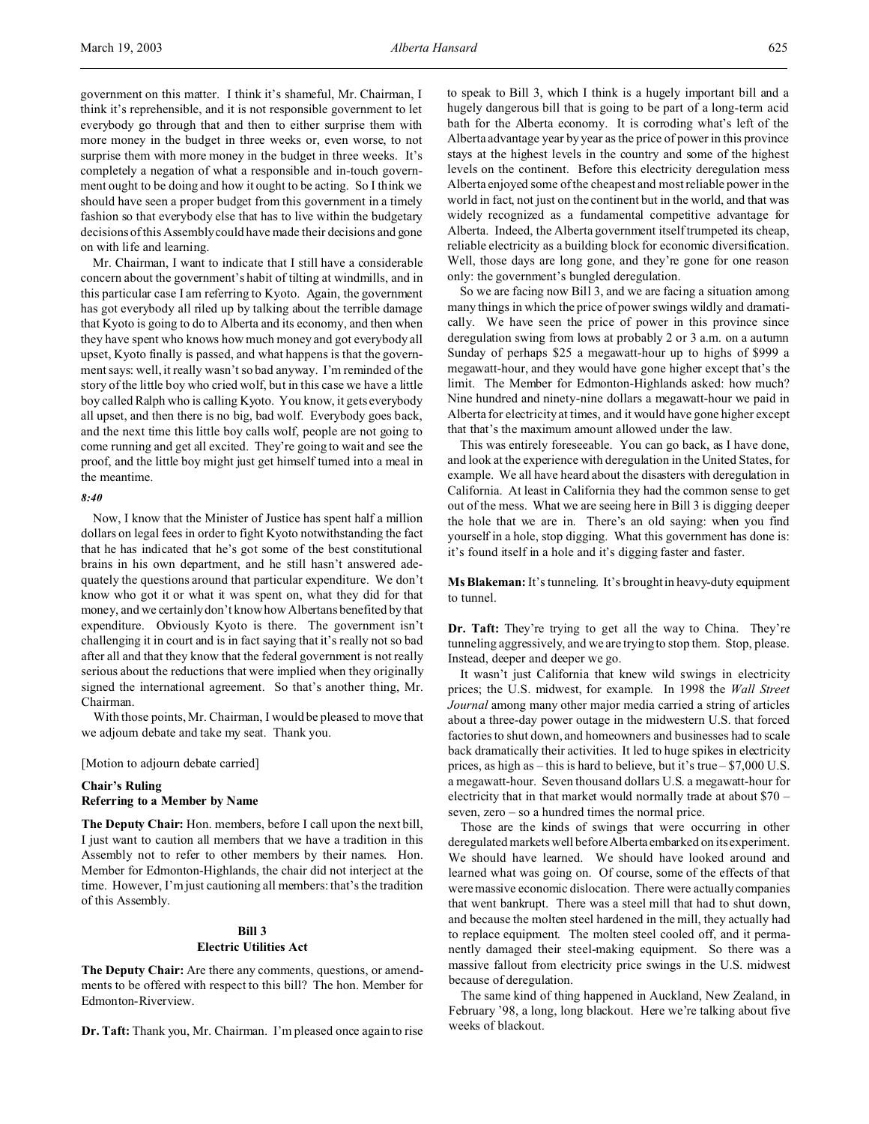government on this matter. I think it's shameful, Mr. Chairman, I think it's reprehensible, and it is not responsible government to let everybody go through that and then to either surprise them with more money in the budget in three weeks or, even worse, to not surprise them with more money in the budget in three weeks. It's completely a negation of what a responsible and in-touch government ought to be doing and how it ought to be acting. So I think we should have seen a proper budget from this government in a timely fashion so that everybody else that has to live within the budgetary decisions of this Assembly could have made their decisions and gone on with life and learning.

Mr. Chairman, I want to indicate that I still have a considerable concern about the government's habit of tilting at windmills, and in this particular case I am referring to Kyoto. Again, the government has got everybody all riled up by talking about the terrible damage that Kyoto is going to do to Alberta and its economy, and then when they have spent who knows how much money and got everybody all upset, Kyoto finally is passed, and what happens is that the government says: well, it really wasn't so bad anyway. I'm reminded of the story of the little boy who cried wolf, but in this case we have a little boy called Ralph who is calling Kyoto. You know, it gets everybody all upset, and then there is no big, bad wolf. Everybody goes back, and the next time this little boy calls wolf, people are not going to come running and get all excited. They're going to wait and see the proof, and the little boy might just get himself turned into a meal in the meantime.

## *8:40*

Now, I know that the Minister of Justice has spent half a million dollars on legal fees in order to fight Kyoto notwithstanding the fact that he has indicated that he's got some of the best constitutional brains in his own department, and he still hasn't answered adequately the questions around that particular expenditure. We don't know who got it or what it was spent on, what they did for that money, and we certainly don't know how Albertans benefited by that expenditure. Obviously Kyoto is there. The government isn't challenging it in court and is in fact saying that it's really not so bad after all and that they know that the federal government is not really serious about the reductions that were implied when they originally signed the international agreement. So that's another thing, Mr. Chairman.

With those points, Mr. Chairman, I would be pleased to move that we adjourn debate and take my seat. Thank you.

[Motion to adjourn debate carried]

# **Chair's Ruling Referring to a Member by Name**

**The Deputy Chair:** Hon. members, before I call upon the next bill, I just want to caution all members that we have a tradition in this Assembly not to refer to other members by their names. Hon. Member for Edmonton-Highlands, the chair did not interject at the time. However, I'm just cautioning all members: that's the tradition of this Assembly.

# **Bill 3**

### **Electric Utilities Act**

**The Deputy Chair:** Are there any comments, questions, or amendments to be offered with respect to this bill? The hon. Member for Edmonton-Riverview.

**Dr. Taft:** Thank you, Mr. Chairman. I'm pleased once again to rise

to speak to Bill 3, which I think is a hugely important bill and a hugely dangerous bill that is going to be part of a long-term acid bath for the Alberta economy. It is corroding what's left of the Alberta advantage year by year as the price of power in this province stays at the highest levels in the country and some of the highest levels on the continent. Before this electricity deregulation mess Alberta enjoyed some of the cheapest and most reliable power in the world in fact, not just on the continent but in the world, and that was widely recognized as a fundamental competitive advantage for Alberta. Indeed, the Alberta government itself trumpeted its cheap, reliable electricity as a building block for economic diversification. Well, those days are long gone, and they're gone for one reason only: the government's bungled deregulation.

So we are facing now Bill 3, and we are facing a situation among many things in which the price of power swings wildly and dramatically. We have seen the price of power in this province since deregulation swing from lows at probably 2 or 3 a.m. on a autumn Sunday of perhaps \$25 a megawatt-hour up to highs of \$999 a megawatt-hour, and they would have gone higher except that's the limit. The Member for Edmonton-Highlands asked: how much? Nine hundred and ninety-nine dollars a megawatt-hour we paid in Alberta for electricity at times, and it would have gone higher except that that's the maximum amount allowed under the law.

This was entirely foreseeable. You can go back, as I have done, and look at the experience with deregulation in the United States, for example. We all have heard about the disasters with deregulation in California. At least in California they had the common sense to get out of the mess. What we are seeing here in Bill 3 is digging deeper the hole that we are in. There's an old saying: when you find yourself in a hole, stop digging. What this government has done is: it's found itself in a hole and it's digging faster and faster.

**Ms Blakeman:**It's tunneling. It's brought in heavy-duty equipment to tunnel.

**Dr. Taft:** They're trying to get all the way to China. They're tunneling aggressively, and we are trying to stop them. Stop, please. Instead, deeper and deeper we go.

It wasn't just California that knew wild swings in electricity prices; the U.S. midwest, for example. In 1998 the *Wall Street Journal* among many other major media carried a string of articles about a three-day power outage in the midwestern U.S. that forced factories to shut down, and homeowners and businesses had to scale back dramatically their activities. It led to huge spikes in electricity prices, as high as – this is hard to believe, but it's true – \$7,000 U.S. a megawatt-hour. Seven thousand dollars U.S. a megawatt-hour for electricity that in that market would normally trade at about \$70 – seven, zero – so a hundred times the normal price.

Those are the kinds of swings that were occurring in other deregulated markets well before Alberta embarked on its experiment. We should have learned. We should have looked around and learned what was going on. Of course, some of the effects of that were massive economic dislocation. There were actually companies that went bankrupt. There was a steel mill that had to shut down, and because the molten steel hardened in the mill, they actually had to replace equipment. The molten steel cooled off, and it permanently damaged their steel-making equipment. So there was a massive fallout from electricity price swings in the U.S. midwest because of deregulation.

The same kind of thing happened in Auckland, New Zealand, in February '98, a long, long blackout. Here we're talking about five weeks of blackout.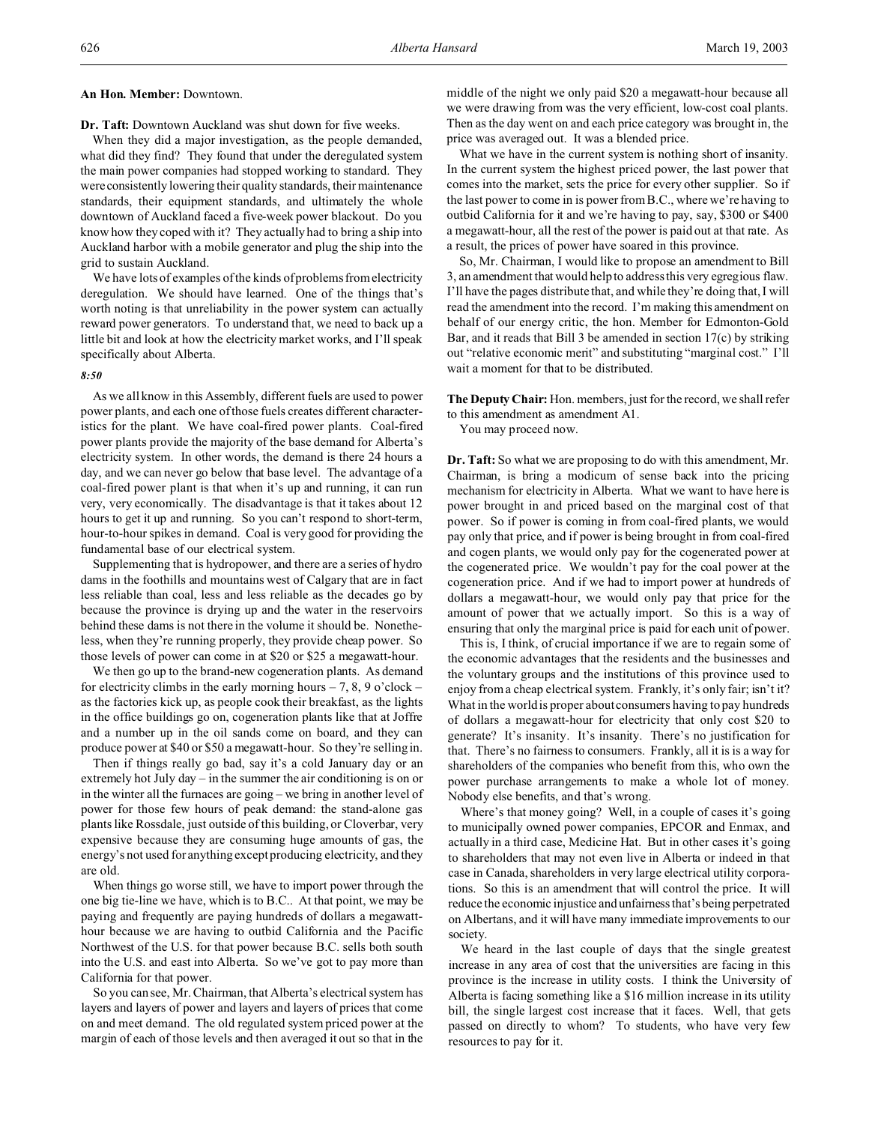**Dr. Taft:** Downtown Auckland was shut down for five weeks.

When they did a major investigation, as the people demanded, what did they find? They found that under the deregulated system the main power companies had stopped working to standard. They wereconsistently lowering their quality standards, their maintenance standards, their equipment standards, and ultimately the whole downtown of Auckland faced a five-week power blackout. Do you know how they coped with it? They actually had to bring a ship into Auckland harbor with a mobile generator and plug the ship into the grid to sustain Auckland.

We have lots of examples of the kinds of problems from electricity deregulation. We should have learned. One of the things that's worth noting is that unreliability in the power system can actually reward power generators. To understand that, we need to back up a little bit and look at how the electricity market works, and I'll speak specifically about Alberta.

# *8:50*

As we all know in this Assembly, different fuels are used to power power plants, and each one of those fuels creates different characteristics for the plant. We have coal-fired power plants. Coal-fired power plants provide the majority of the base demand for Alberta's electricity system. In other words, the demand is there 24 hours a day, and we can never go below that base level. The advantage of a coal-fired power plant is that when it's up and running, it can run very, very economically. The disadvantage is that it takes about 12 hours to get it up and running. So you can't respond to short-term, hour-to-hour spikes in demand. Coal is very good for providing the fundamental base of our electrical system.

Supplementing that is hydropower, and there are a series of hydro dams in the foothills and mountains west of Calgary that are in fact less reliable than coal, less and less reliable as the decades go by because the province is drying up and the water in the reservoirs behind these dams is not there in the volume it should be. Nonetheless, when they're running properly, they provide cheap power. So those levels of power can come in at \$20 or \$25 a megawatt-hour.

We then go up to the brand-new cogeneration plants. As demand for electricity climbs in the early morning hours  $-7$ , 8, 9 o'clock – as the factories kick up, as people cook their breakfast, as the lights in the office buildings go on, cogeneration plants like that at Joffre and a number up in the oil sands come on board, and they can produce power at \$40 or \$50 a megawatt-hour. So they're selling in.

Then if things really go bad, say it's a cold January day or an extremely hot July day – in the summer the air conditioning is on or in the winter all the furnaces are going – we bring in another level of power for those few hours of peak demand: the stand-alone gas plants like Rossdale, just outside of this building, or Cloverbar, very expensive because they are consuming huge amounts of gas, the energy's not used for anything except producing electricity, and they are old.

When things go worse still, we have to import power through the one big tie-line we have, which is to B.C.. At that point, we may be paying and frequently are paying hundreds of dollars a megawatthour because we are having to outbid California and the Pacific Northwest of the U.S. for that power because B.C. sells both south into the U.S. and east into Alberta. So we've got to pay more than California for that power.

So you can see, Mr. Chairman, that Alberta's electrical system has layers and layers of power and layers and layers of prices that come on and meet demand. The old regulated system priced power at the margin of each of those levels and then averaged it out so that in the

middle of the night we only paid \$20 a megawatt-hour because all we were drawing from was the very efficient, low-cost coal plants. Then as the day went on and each price category was brought in, the price was averaged out. It was a blended price.

What we have in the current system is nothing short of insanity. In the current system the highest priced power, the last power that comes into the market, sets the price for every other supplier. So if the last power to come in is power from B.C., where we're having to outbid California for it and we're having to pay, say, \$300 or \$400 a megawatt-hour, all the rest of the power is paid out at that rate. As a result, the prices of power have soared in this province.

So, Mr. Chairman, I would like to propose an amendment to Bill 3, an amendment that would help to address this very egregious flaw. I'll have the pages distribute that, and while they're doing that, I will read the amendment into the record. I'm making this amendment on behalf of our energy critic, the hon. Member for Edmonton-Gold Bar, and it reads that Bill 3 be amended in section 17(c) by striking out "relative economic merit" and substituting "marginal cost." I'll wait a moment for that to be distributed.

**The Deputy Chair:** Hon. members, just for the record, we shall refer to this amendment as amendment A1.

You may proceed now.

**Dr. Taft:** So what we are proposing to do with this amendment, Mr. Chairman, is bring a modicum of sense back into the pricing mechanism for electricity in Alberta. What we want to have here is power brought in and priced based on the marginal cost of that power. So if power is coming in from coal-fired plants, we would pay only that price, and if power is being brought in from coal-fired and cogen plants, we would only pay for the cogenerated power at the cogenerated price. We wouldn't pay for the coal power at the cogeneration price. And if we had to import power at hundreds of dollars a megawatt-hour, we would only pay that price for the amount of power that we actually import. So this is a way of ensuring that only the marginal price is paid for each unit of power.

This is, I think, of crucial importance if we are to regain some of the economic advantages that the residents and the businesses and the voluntary groups and the institutions of this province used to enjoy from a cheap electrical system. Frankly, it's only fair; isn't it? What in the world is proper about consumers having to pay hundreds of dollars a megawatt-hour for electricity that only cost \$20 to generate? It's insanity. It's insanity. There's no justification for that. There's no fairness to consumers. Frankly, all it is is a way for shareholders of the companies who benefit from this, who own the power purchase arrangements to make a whole lot of money. Nobody else benefits, and that's wrong.

Where's that money going? Well, in a couple of cases it's going to municipally owned power companies, EPCOR and Enmax, and actually in a third case, Medicine Hat. But in other cases it's going to shareholders that may not even live in Alberta or indeed in that case in Canada, shareholders in very large electrical utility corporations. So this is an amendment that will control the price. It will reduce the economic injustice and unfairness that's being perpetrated on Albertans, and it will have many immediate improvements to our society.

We heard in the last couple of days that the single greatest increase in any area of cost that the universities are facing in this province is the increase in utility costs. I think the University of Alberta is facing something like a \$16 million increase in its utility bill, the single largest cost increase that it faces. Well, that gets passed on directly to whom? To students, who have very few resources to pay for it.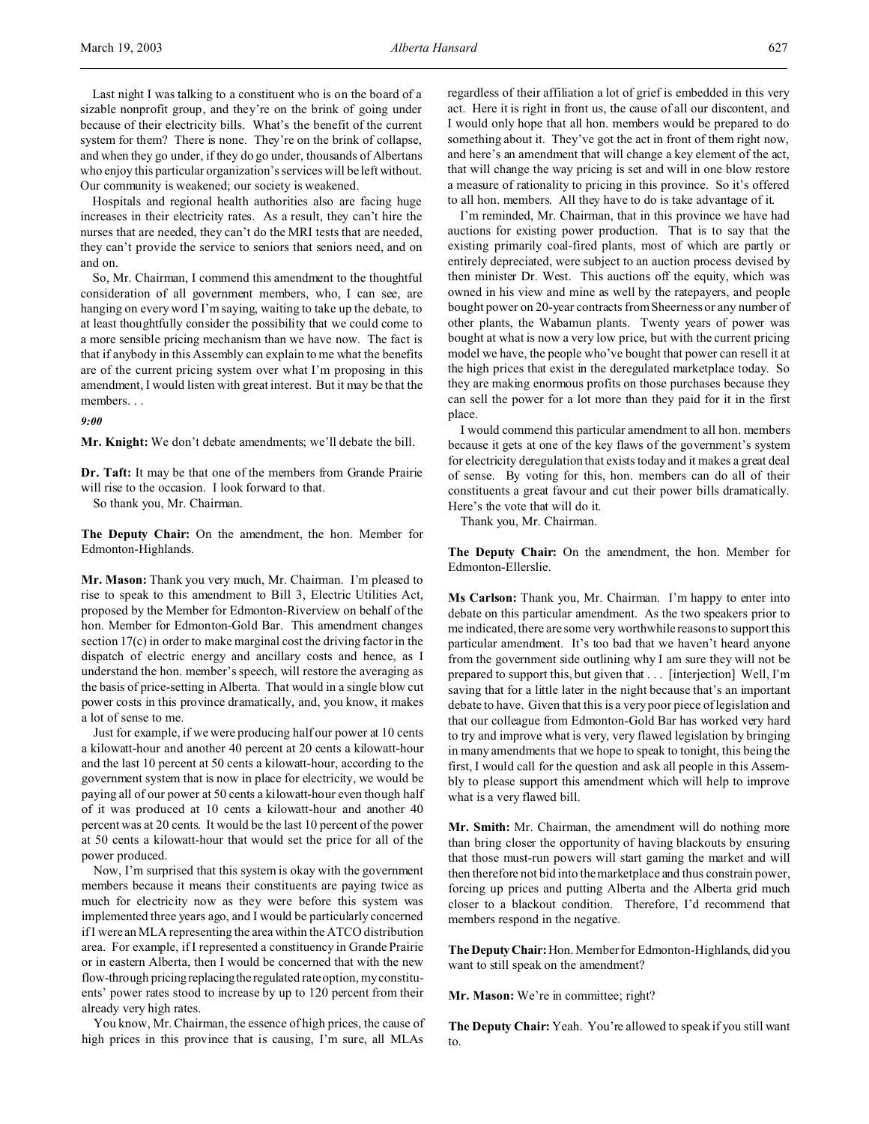Last night I was talking to a constituent who is on the board of a sizable nonprofit group, and they're on the brink of going under because of their electricity bills. What's the benefit of the current system for them? There is none. They're on the brink of collapse, and when they go under, if they do go under, thousands of Albertans who enjoy this particular organization's services will be left without. Our community is weakened; our society is weakened.

Hospitals and regional health authorities also are facing huge increases in their electricity rates. As a result, they can't hire the nurses that are needed, they can't do the MRI tests that are needed, they can't provide the service to seniors that seniors need, and on and on.

So, Mr. Chairman, I commend this amendment to the thoughtful consideration of all government members, who, I can see, are hanging on every word I'm saying, waiting to take up the debate, to at least thoughtfully consider the possibility that we could come to a more sensible pricing mechanism than we have now. The fact is that if anybody in this Assembly can explain to me what the benefits are of the current pricing system over what I'm proposing in this amendment, I would listen with great interest. But it may be that the members. . .

*9:00*

**Mr. Knight:** We don't debate amendments; we'll debate the bill.

**Dr. Taft:** It may be that one of the members from Grande Prairie will rise to the occasion. I look forward to that.

So thank you, Mr. Chairman.

**The Deputy Chair:** On the amendment, the hon. Member for Edmonton-Highlands.

**Mr. Mason:** Thank you very much, Mr. Chairman. I'm pleased to rise to speak to this amendment to Bill 3, Electric Utilities Act, proposed by the Member for Edmonton-Riverview on behalf of the hon. Member for Edmonton-Gold Bar. This amendment changes section 17(c) in order to make marginal cost the driving factor in the dispatch of electric energy and ancillary costs and hence, as I understand the hon. member's speech, will restore the averaging as the basis of price-setting in Alberta. That would in a single blow cut power costs in this province dramatically, and, you know, it makes a lot of sense to me.

Just for example, if we were producing half our power at 10 cents a kilowatt-hour and another 40 percent at 20 cents a kilowatt-hour and the last 10 percent at 50 cents a kilowatt-hour, according to the government system that is now in place for electricity, we would be paying all of our power at 50 cents a kilowatt-hour even though half of it was produced at 10 cents a kilowatt-hour and another 40 percent was at 20 cents. It would be the last 10 percent of the power at 50 cents a kilowatt-hour that would set the price for all of the power produced.

Now, I'm surprised that this system is okay with the government members because it means their constituents are paying twice as much for electricity now as they were before this system was implemented three years ago, and I would be particularly concerned if I were an MLA representing the area within the ATCO distribution area. For example, if I represented a constituency in Grande Prairie or in eastern Alberta, then I would be concerned that with the new flow-through pricingreplacingthe regulated rate option, my constituents' power rates stood to increase by up to 120 percent from their already very high rates.

You know, Mr. Chairman, the essence of high prices, the cause of high prices in this province that is causing, I'm sure, all MLAs

regardless of their affiliation a lot of grief is embedded in this very act. Here it is right in front us, the cause of all our discontent, and I would only hope that all hon. members would be prepared to do something about it. They've got the act in front of them right now, and here's an amendment that will change a key element of the act, that will change the way pricing is set and will in one blow restore a measure of rationality to pricing in this province. So it's offered to all hon. members. All they have to do is take advantage of it.

I'm reminded, Mr. Chairman, that in this province we have had auctions for existing power production. That is to say that the existing primarily coal-fired plants, most of which are partly or entirely depreciated, were subject to an auction process devised by then minister Dr. West. This auctions off the equity, which was owned in his view and mine as well by the ratepayers, and people bought power on 20-year contracts from Sheerness or any number of other plants, the Wabamun plants. Twenty years of power was bought at what is now a very low price, but with the current pricing model we have, the people who've bought that power can resell it at the high prices that exist in the deregulated marketplace today. So they are making enormous profits on those purchases because they can sell the power for a lot more than they paid for it in the first place.

I would commend this particular amendment to all hon. members because it gets at one of the key flaws of the government's system for electricity deregulation that exists today and it makes a great deal of sense. By voting for this, hon. members can do all of their constituents a great favour and cut their power bills dramatically. Here's the vote that will do it.

Thank you, Mr. Chairman.

**The Deputy Chair:** On the amendment, the hon. Member for Edmonton-Ellerslie.

**Ms Carlson:** Thank you, Mr. Chairman. I'm happy to enter into debate on this particular amendment. As the two speakers prior to me indicated, there are some very worthwhile reasons to support this particular amendment. It's too bad that we haven't heard anyone from the government side outlining why I am sure they will not be prepared to support this, but given that . . . [interjection] Well, I'm saving that for a little later in the night because that's an important debate to have. Given that this is a very poor piece of legislation and that our colleague from Edmonton-Gold Bar has worked very hard to try and improve what is very, very flawed legislation by bringing in many amendments that we hope to speak to tonight, this being the first, I would call for the question and ask all people in this Assembly to please support this amendment which will help to improve what is a very flawed bill.

**Mr. Smith:** Mr. Chairman, the amendment will do nothing more than bring closer the opportunity of having blackouts by ensuring that those must-run powers will start gaming the market and will then therefore not bid into the marketplace and thus constrain power, forcing up prices and putting Alberta and the Alberta grid much closer to a blackout condition. Therefore, I'd recommend that members respond in the negative.

**The DeputyChair:**Hon. Member for Edmonton-Highlands, did you want to still speak on the amendment?

**Mr. Mason:** We're in committee; right?

**The Deputy Chair:** Yeah. You're allowed to speak if you still want to.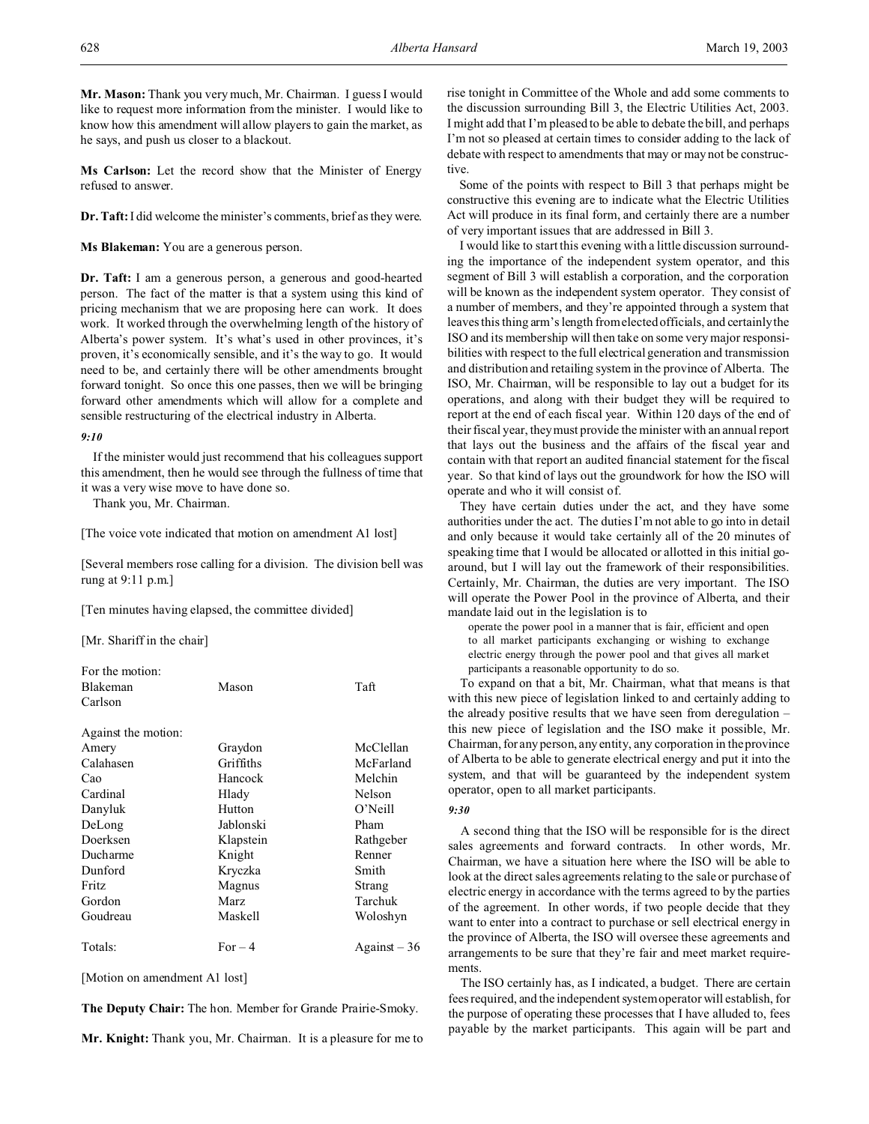**Mr. Mason:** Thank you very much, Mr. Chairman. I guess I would like to request more information from the minister. I would like to know how this amendment will allow players to gain the market, as he says, and push us closer to a blackout.

**Ms Carlson:** Let the record show that the Minister of Energy refused to answer.

**Dr. Taft:** I did welcome the minister's comments, brief as they were.

**Ms Blakeman:** You are a generous person.

**Dr. Taft:** I am a generous person, a generous and good-hearted person. The fact of the matter is that a system using this kind of pricing mechanism that we are proposing here can work. It does work. It worked through the overwhelming length of the history of Alberta's power system. It's what's used in other provinces, it's proven, it's economically sensible, and it's the way to go. It would need to be, and certainly there will be other amendments brought forward tonight. So once this one passes, then we will be bringing forward other amendments which will allow for a complete and sensible restructuring of the electrical industry in Alberta.

### *9:10*

If the minister would just recommend that his colleagues support this amendment, then he would see through the fullness of time that it was a very wise move to have done so.

Thank you, Mr. Chairman.

[The voice vote indicated that motion on amendment A1 lost]

[Several members rose calling for a division. The division bell was rung at 9:11 p.m.]

[Ten minutes having elapsed, the committee divided]

[Mr. Shariff in the chair]

| For the motion:     |             |                     |
|---------------------|-------------|---------------------|
| <b>Blakeman</b>     | Mason       | Taft                |
| Carlson             |             |                     |
| Against the motion: |             |                     |
| Amery               | Graydon     | McClellan           |
| Calahasen           | Griffiths   | McFarland           |
| Cao                 | Hancock     | Melchin             |
| Cardinal            | Hlady       | Nelson              |
| Danyluk             | Hutton      | $O'$ Neill          |
| DeLong              | Jablonski   | Pham                |
| Doerksen            | Klapstein   | Rathgeber           |
| Ducharme            | Knight      | Renner              |
| Dunford             | Kryczka     | Smith               |
| Fritz               | Magnus      | Strang              |
| Gordon              | <b>Marz</b> | Tarchuk             |
| Goudreau            | Maskell     | Woloshyn            |
| Totals:             | $For-4$     | $\text{Again}$ = 36 |

[Motion on amendment A1 lost]

**The Deputy Chair:** The hon. Member for Grande Prairie-Smoky.

**Mr. Knight:** Thank you, Mr. Chairman. It is a pleasure for me to

rise tonight in Committee of the Whole and add some comments to the discussion surrounding Bill 3, the Electric Utilities Act, 2003. I might add that I'm pleased to be able to debate the bill, and perhaps I'm not so pleased at certain times to consider adding to the lack of debate with respect to amendments that may or may not be constructive.

Some of the points with respect to Bill 3 that perhaps might be constructive this evening are to indicate what the Electric Utilities Act will produce in its final form, and certainly there are a number of very important issues that are addressed in Bill 3.

I would like to start this evening with a little discussion surrounding the importance of the independent system operator, and this segment of Bill 3 will establish a corporation, and the corporation will be known as the independent system operator. They consist of a number of members, and they're appointed through a system that leaves this thing arm's length from elected officials, and certainly the ISO and its membership will then take on some very major responsibilities with respect to the full electrical generation and transmission and distribution and retailing system in the province of Alberta. The ISO, Mr. Chairman, will be responsible to lay out a budget for its operations, and along with their budget they will be required to report at the end of each fiscal year. Within 120 days of the end of their fiscal year, they must provide the minister with an annual report that lays out the business and the affairs of the fiscal year and contain with that report an audited financial statement for the fiscal year. So that kind of lays out the groundwork for how the ISO will operate and who it will consist of.

They have certain duties under the act, and they have some authorities under the act. The duties I'm not able to go into in detail and only because it would take certainly all of the 20 minutes of speaking time that I would be allocated or allotted in this initial goaround, but I will lay out the framework of their responsibilities. Certainly, Mr. Chairman, the duties are very important. The ISO will operate the Power Pool in the province of Alberta, and their mandate laid out in the legislation is to

operate the power pool in a manner that is fair, efficient and open to all market participants exchanging or wishing to exchange electric energy through the power pool and that gives all market participants a reasonable opportunity to do so.

To expand on that a bit, Mr. Chairman, what that means is that with this new piece of legislation linked to and certainly adding to the already positive results that we have seen from deregulation – this new piece of legislation and the ISO make it possible, Mr. Chairman, for any person, any entity, any corporation in the province of Alberta to be able to generate electrical energy and put it into the system, and that will be guaranteed by the independent system operator, open to all market participants.

#### *9:30*

A second thing that the ISO will be responsible for is the direct sales agreements and forward contracts. In other words, Mr. Chairman, we have a situation here where the ISO will be able to look at the direct sales agreements relating to the sale or purchase of electric energy in accordance with the terms agreed to by the parties of the agreement. In other words, if two people decide that they want to enter into a contract to purchase or sell electrical energy in the province of Alberta, the ISO will oversee these agreements and arrangements to be sure that they're fair and meet market requirements.

The ISO certainly has, as I indicated, a budget. There are certain fees required, and the independent system operator will establish, for the purpose of operating these processes that I have alluded to, fees payable by the market participants. This again will be part and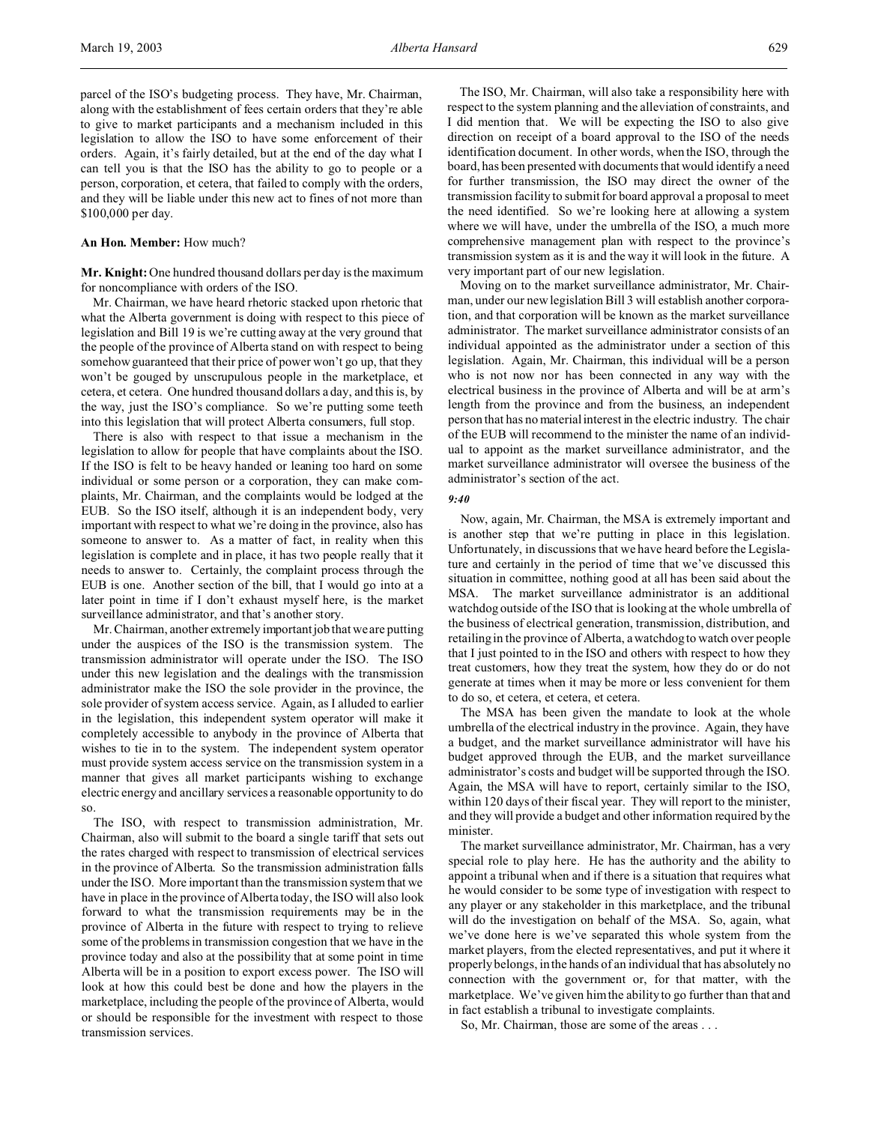\$100,000 per day.

### **An Hon. Member:** How much?

**Mr. Knight:**One hundred thousand dollars per day is the maximum for noncompliance with orders of the ISO.

and they will be liable under this new act to fines of not more than

Mr. Chairman, we have heard rhetoric stacked upon rhetoric that what the Alberta government is doing with respect to this piece of legislation and Bill 19 is we're cutting away at the very ground that the people of the province of Alberta stand on with respect to being somehow guaranteed that their price of power won't go up, that they won't be gouged by unscrupulous people in the marketplace, et cetera, et cetera. One hundred thousand dollars a day, and this is, by the way, just the ISO's compliance. So we're putting some teeth into this legislation that will protect Alberta consumers, full stop.

There is also with respect to that issue a mechanism in the legislation to allow for people that have complaints about the ISO. If the ISO is felt to be heavy handed or leaning too hard on some individual or some person or a corporation, they can make complaints, Mr. Chairman, and the complaints would be lodged at the EUB. So the ISO itself, although it is an independent body, very important with respect to what we're doing in the province, also has someone to answer to. As a matter of fact, in reality when this legislation is complete and in place, it has two people really that it needs to answer to. Certainly, the complaint process through the EUB is one. Another section of the bill, that I would go into at a later point in time if I don't exhaust myself here, is the market surveillance administrator, and that's another story.

Mr. Chairman, another extremely important job that we are putting under the auspices of the ISO is the transmission system. The transmission administrator will operate under the ISO. The ISO under this new legislation and the dealings with the transmission administrator make the ISO the sole provider in the province, the sole provider of system access service. Again, as I alluded to earlier in the legislation, this independent system operator will make it completely accessible to anybody in the province of Alberta that wishes to tie in to the system. The independent system operator must provide system access service on the transmission system in a manner that gives all market participants wishing to exchange electric energy and ancillary services a reasonable opportunity to do so.

The ISO, with respect to transmission administration, Mr. Chairman, also will submit to the board a single tariff that sets out the rates charged with respect to transmission of electrical services in the province of Alberta. So the transmission administration falls under the ISO. More important than the transmission system that we have in place in the province of Alberta today, the ISO will also look forward to what the transmission requirements may be in the province of Alberta in the future with respect to trying to relieve some of the problems in transmission congestion that we have in the province today and also at the possibility that at some point in time Alberta will be in a position to export excess power. The ISO will look at how this could best be done and how the players in the marketplace, including the people of the province of Alberta, would or should be responsible for the investment with respect to those transmission services.

The ISO, Mr. Chairman, will also take a responsibility here with respect to the system planning and the alleviation of constraints, and I did mention that. We will be expecting the ISO to also give direction on receipt of a board approval to the ISO of the needs identification document. In other words, when the ISO, through the board, has been presented with documents that would identify a need for further transmission, the ISO may direct the owner of the transmission facility to submit for board approval a proposal to meet the need identified. So we're looking here at allowing a system where we will have, under the umbrella of the ISO, a much more comprehensive management plan with respect to the province's transmission system as it is and the way it will look in the future. A very important part of our new legislation.

Moving on to the market surveillance administrator, Mr. Chairman, under our new legislation Bill 3 will establish another corporation, and that corporation will be known as the market surveillance administrator. The market surveillance administrator consists of an individual appointed as the administrator under a section of this legislation. Again, Mr. Chairman, this individual will be a person who is not now nor has been connected in any way with the electrical business in the province of Alberta and will be at arm's length from the province and from the business, an independent person that has no material interest in the electric industry. The chair of the EUB will recommend to the minister the name of an individual to appoint as the market surveillance administrator, and the market surveillance administrator will oversee the business of the administrator's section of the act.

#### *9:40*

Now, again, Mr. Chairman, the MSA is extremely important and is another step that we're putting in place in this legislation. Unfortunately, in discussions that we have heard before the Legislature and certainly in the period of time that we've discussed this situation in committee, nothing good at all has been said about the MSA. The market surveillance administrator is an additional watchdog outside of the ISO that is looking at the whole umbrella of the business of electrical generation, transmission, distribution, and retailing in the province of Alberta, a watchdog to watch over people that I just pointed to in the ISO and others with respect to how they treat customers, how they treat the system, how they do or do not generate at times when it may be more or less convenient for them to do so, et cetera, et cetera, et cetera.

The MSA has been given the mandate to look at the whole umbrella of the electrical industry in the province. Again, they have a budget, and the market surveillance administrator will have his budget approved through the EUB, and the market surveillance administrator's costs and budget will be supported through the ISO. Again, the MSA will have to report, certainly similar to the ISO, within 120 days of their fiscal year. They will report to the minister, and they will provide a budget and other information required by the minister.

The market surveillance administrator, Mr. Chairman, has a very special role to play here. He has the authority and the ability to appoint a tribunal when and if there is a situation that requires what he would consider to be some type of investigation with respect to any player or any stakeholder in this marketplace, and the tribunal will do the investigation on behalf of the MSA. So, again, what we've done here is we've separated this whole system from the market players, from the elected representatives, and put it where it properly belongs, in the hands of an individual that has absolutely no connection with the government or, for that matter, with the marketplace. We've given him the ability to go further than that and in fact establish a tribunal to investigate complaints.

So, Mr. Chairman, those are some of the areas . . .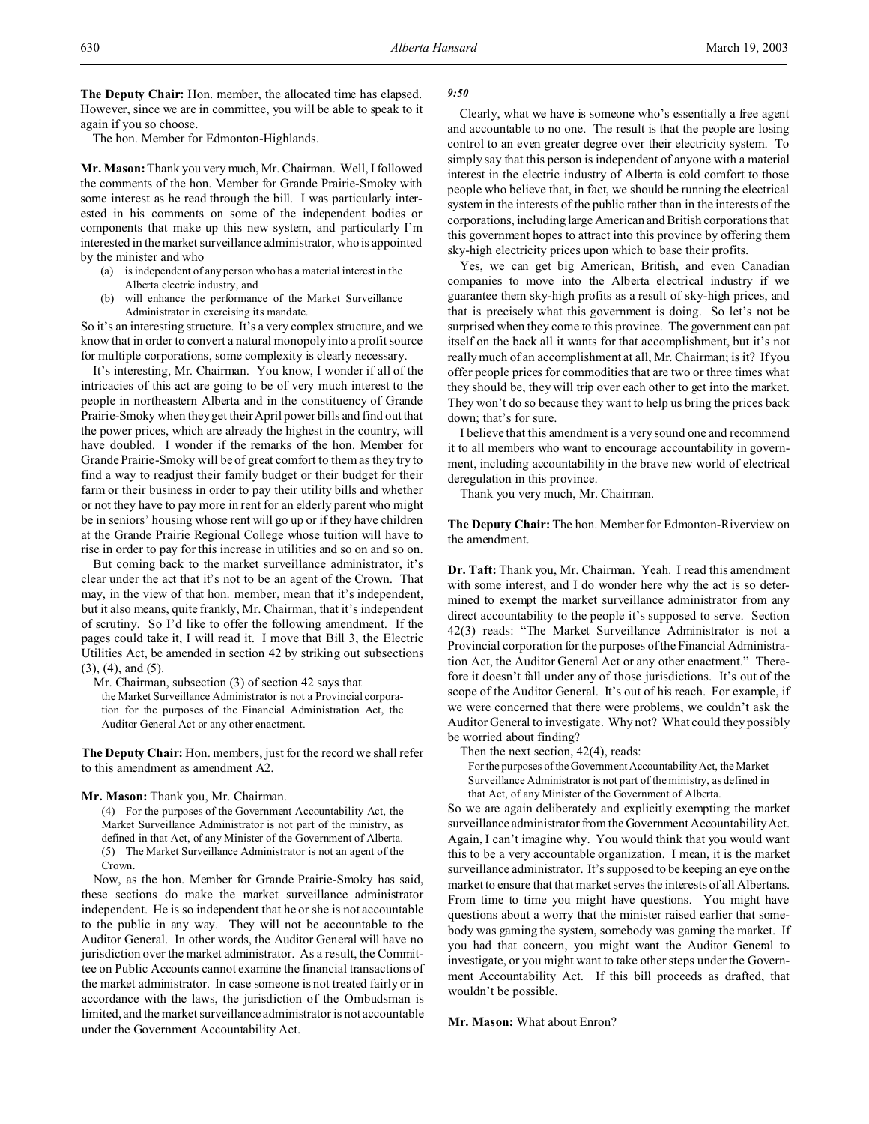**The Deputy Chair:** Hon. member, the allocated time has elapsed. However, since we are in committee, you will be able to speak to it again if you so choose.

The hon. Member for Edmonton-Highlands.

**Mr. Mason:** Thank you very much, Mr. Chairman. Well, I followed the comments of the hon. Member for Grande Prairie-Smoky with some interest as he read through the bill. I was particularly interested in his comments on some of the independent bodies or components that make up this new system, and particularly I'm interested in the market surveillance administrator, who is appointed by the minister and who

- (a) is independent of any person who has a material interest in the Alberta electric industry, and
- (b) will enhance the performance of the Market Surveillance Administrator in exercising its mandate.

So it's an interesting structure. It's a very complex structure, and we know that in order to convert a natural monopoly into a profit source for multiple corporations, some complexity is clearly necessary.

It's interesting, Mr. Chairman. You know, I wonder if all of the intricacies of this act are going to be of very much interest to the people in northeastern Alberta and in the constituency of Grande Prairie-Smoky when they get their April power bills and find out that the power prices, which are already the highest in the country, will have doubled. I wonder if the remarks of the hon. Member for Grande Prairie-Smoky will be of great comfort to them as they try to find a way to readjust their family budget or their budget for their farm or their business in order to pay their utility bills and whether or not they have to pay more in rent for an elderly parent who might be in seniors' housing whose rent will go up or if they have children at the Grande Prairie Regional College whose tuition will have to rise in order to pay for this increase in utilities and so on and so on.

But coming back to the market surveillance administrator, it's clear under the act that it's not to be an agent of the Crown. That may, in the view of that hon. member, mean that it's independent, but it also means, quite frankly, Mr. Chairman, that it's independent of scrutiny. So I'd like to offer the following amendment. If the pages could take it, I will read it. I move that Bill 3, the Electric Utilities Act, be amended in section 42 by striking out subsections (3), (4), and (5).

Mr. Chairman, subsection (3) of section 42 says that the Market Surveillance Administrator is not a Provincial corporation for the purposes of the Financial Administration Act, the Auditor General Act or any other enactment.

**The Deputy Chair:** Hon. members, just for the record we shall refer to this amendment as amendment A2.

#### **Mr. Mason:** Thank you, Mr. Chairman.

(4) For the purposes of the Government Accountability Act, the Market Surveillance Administrator is not part of the ministry, as defined in that Act, of any Minister of the Government of Alberta. (5) The Market Surveillance Administrator is not an agent of the Crown.

Now, as the hon. Member for Grande Prairie-Smoky has said, these sections do make the market surveillance administrator independent. He is so independent that he or she is not accountable to the public in any way. They will not be accountable to the Auditor General. In other words, the Auditor General will have no jurisdiction over the market administrator. As a result, the Committee on Public Accounts cannot examine the financial transactions of the market administrator. In case someone is not treated fairly or in accordance with the laws, the jurisdiction of the Ombudsman is limited, and the market surveillance administrator is not accountable under the Government Accountability Act.

### *9:50*

Clearly, what we have is someone who's essentially a free agent and accountable to no one. The result is that the people are losing control to an even greater degree over their electricity system. To simply say that this person is independent of anyone with a material interest in the electric industry of Alberta is cold comfort to those people who believe that, in fact, we should be running the electrical system in the interests of the public rather than in the interests of the corporations, including large American and British corporations that this government hopes to attract into this province by offering them sky-high electricity prices upon which to base their profits.

Yes, we can get big American, British, and even Canadian companies to move into the Alberta electrical industry if we guarantee them sky-high profits as a result of sky-high prices, and that is precisely what this government is doing. So let's not be surprised when they come to this province. The government can pat itself on the back all it wants for that accomplishment, but it's not really much of an accomplishment at all, Mr. Chairman; is it? If you offer people prices for commodities that are two or three times what they should be, they will trip over each other to get into the market. They won't do so because they want to help us bring the prices back down; that's for sure.

I believe that this amendment is a very sound one and recommend it to all members who want to encourage accountability in government, including accountability in the brave new world of electrical deregulation in this province.

Thank you very much, Mr. Chairman.

**The Deputy Chair:** The hon. Member for Edmonton-Riverview on the amendment.

**Dr. Taft:** Thank you, Mr. Chairman. Yeah. I read this amendment with some interest, and I do wonder here why the act is so determined to exempt the market surveillance administrator from any direct accountability to the people it's supposed to serve. Section 42(3) reads: "The Market Surveillance Administrator is not a Provincial corporation for the purposes of the Financial Administration Act, the Auditor General Act or any other enactment." Therefore it doesn't fall under any of those jurisdictions. It's out of the scope of the Auditor General. It's out of his reach. For example, if we were concerned that there were problems, we couldn't ask the Auditor General to investigate. Why not? What could they possibly be worried about finding?

Then the next section, 42(4), reads:

For the purposes of the Government Accountability Act, the Market Surveillance Administrator is not part of the ministry, as defined in that Act, of any Minister of the Government of Alberta.

So we are again deliberately and explicitly exempting the market surveillance administrator from the Government Accountability Act. Again, I can't imagine why. You would think that you would want this to be a very accountable organization. I mean, it is the market surveillance administrator. It's supposed to be keeping an eye on the market to ensure that that market serves the interests of all Albertans. From time to time you might have questions. You might have questions about a worry that the minister raised earlier that somebody was gaming the system, somebody was gaming the market. If you had that concern, you might want the Auditor General to investigate, or you might want to take other steps under the Government Accountability Act. If this bill proceeds as drafted, that wouldn't be possible.

**Mr. Mason:** What about Enron?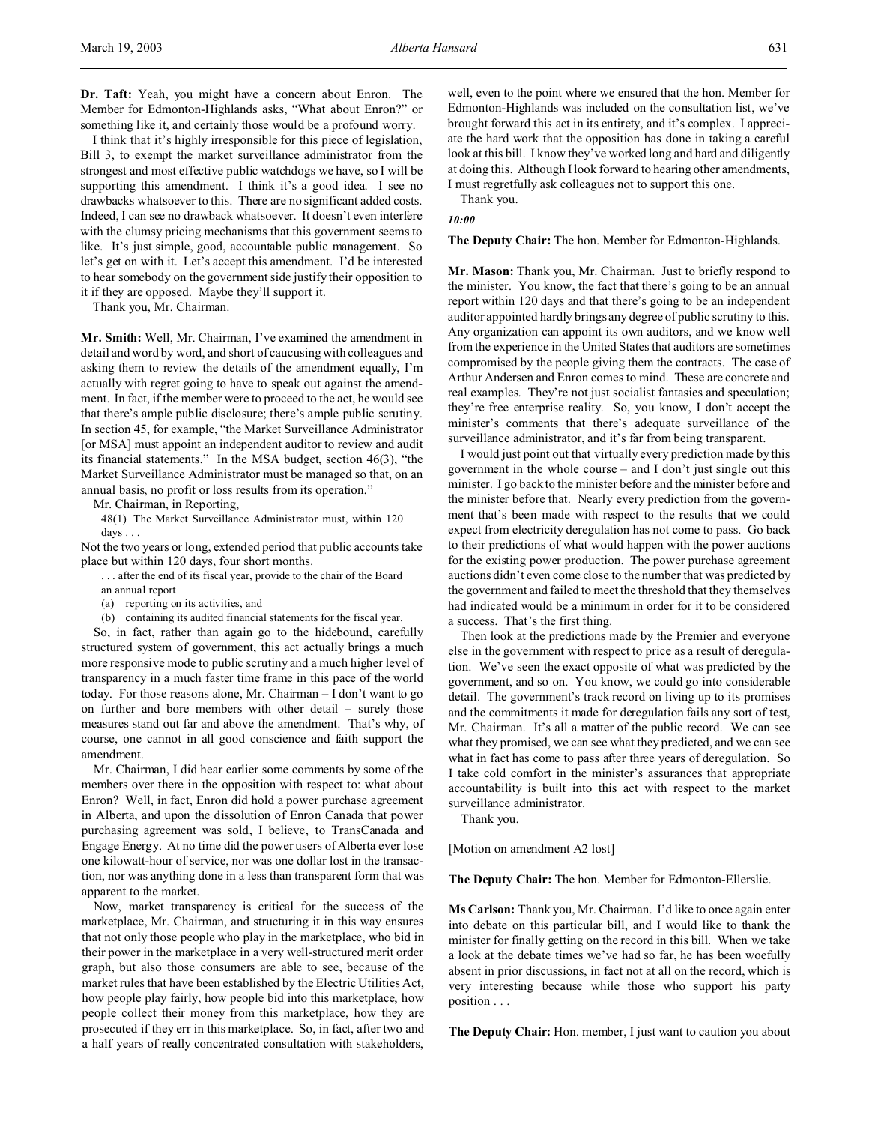**Dr. Taft:** Yeah, you might have a concern about Enron. The Member for Edmonton-Highlands asks, "What about Enron?" or something like it, and certainly those would be a profound worry.

I think that it's highly irresponsible for this piece of legislation, Bill 3, to exempt the market surveillance administrator from the strongest and most effective public watchdogs we have, so I will be supporting this amendment. I think it's a good idea. I see no drawbacks whatsoever to this. There are no significant added costs. Indeed, I can see no drawback whatsoever. It doesn't even interfere with the clumsy pricing mechanisms that this government seems to like. It's just simple, good, accountable public management. So let's get on with it. Let's accept this amendment. I'd be interested to hear somebody on the government side justify their opposition to it if they are opposed. Maybe they'll support it.

Thank you, Mr. Chairman.

**Mr. Smith:** Well, Mr. Chairman, I've examined the amendment in detail and word by word, and short of caucusing with colleagues and asking them to review the details of the amendment equally, I'm actually with regret going to have to speak out against the amendment. In fact, if the member were to proceed to the act, he would see that there's ample public disclosure; there's ample public scrutiny. In section 45, for example, "the Market Surveillance Administrator [or MSA] must appoint an independent auditor to review and audit its financial statements." In the MSA budget, section 46(3), "the Market Surveillance Administrator must be managed so that, on an annual basis, no profit or loss results from its operation."

Mr. Chairman, in Reporting,

48(1) The Market Surveillance Administrator must, within 120 days . . .

Not the two years or long, extended period that public accounts take place but within 120 days, four short months.

. . . after the end of its fiscal year, provide to the chair of the Board

an annual report

(a) reporting on its activities, and

(b) containing its audited financial statements for the fiscal year.

So, in fact, rather than again go to the hidebound, carefully structured system of government, this act actually brings a much more responsive mode to public scrutiny and a much higher level of transparency in a much faster time frame in this pace of the world today. For those reasons alone, Mr. Chairman – I don't want to go on further and bore members with other detail – surely those measures stand out far and above the amendment. That's why, of course, one cannot in all good conscience and faith support the amendment.

Mr. Chairman, I did hear earlier some comments by some of the members over there in the opposition with respect to: what about Enron? Well, in fact, Enron did hold a power purchase agreement in Alberta, and upon the dissolution of Enron Canada that power purchasing agreement was sold, I believe, to TransCanada and Engage Energy. At no time did the power users of Alberta ever lose one kilowatt-hour of service, nor was one dollar lost in the transaction, nor was anything done in a less than transparent form that was apparent to the market.

Now, market transparency is critical for the success of the marketplace, Mr. Chairman, and structuring it in this way ensures that not only those people who play in the marketplace, who bid in their power in the marketplace in a very well-structured merit order graph, but also those consumers are able to see, because of the market rules that have been established by the Electric Utilities Act, how people play fairly, how people bid into this marketplace, how people collect their money from this marketplace, how they are prosecuted if they err in this marketplace. So, in fact, after two and a half years of really concentrated consultation with stakeholders,

well, even to the point where we ensured that the hon. Member for Edmonton-Highlands was included on the consultation list, we've brought forward this act in its entirety, and it's complex. I appreciate the hard work that the opposition has done in taking a careful look at this bill. I know they've worked long and hard and diligently at doing this. Although I look forward to hearing other amendments, I must regretfully ask colleagues not to support this one.

Thank you.

*10:00*

**The Deputy Chair:** The hon. Member for Edmonton-Highlands.

**Mr. Mason:** Thank you, Mr. Chairman. Just to briefly respond to the minister. You know, the fact that there's going to be an annual report within 120 days and that there's going to be an independent auditor appointed hardly brings any degree of public scrutiny to this. Any organization can appoint its own auditors, and we know well from the experience in the United States that auditors are sometimes compromised by the people giving them the contracts. The case of Arthur Andersen and Enron comes to mind. These are concrete and real examples. They're not just socialist fantasies and speculation; they're free enterprise reality. So, you know, I don't accept the minister's comments that there's adequate surveillance of the surveillance administrator, and it's far from being transparent.

I would just point out that virtually every prediction made by this government in the whole course – and I don't just single out this minister. I go back to the minister before and the minister before and the minister before that. Nearly every prediction from the government that's been made with respect to the results that we could expect from electricity deregulation has not come to pass. Go back to their predictions of what would happen with the power auctions for the existing power production. The power purchase agreement auctions didn't even come close to the number that was predicted by the government and failed to meet the threshold that they themselves had indicated would be a minimum in order for it to be considered a success. That's the first thing.

Then look at the predictions made by the Premier and everyone else in the government with respect to price as a result of deregulation. We've seen the exact opposite of what was predicted by the government, and so on. You know, we could go into considerable detail. The government's track record on living up to its promises and the commitments it made for deregulation fails any sort of test, Mr. Chairman. It's all a matter of the public record. We can see what they promised, we can see what they predicted, and we can see what in fact has come to pass after three years of deregulation. So I take cold comfort in the minister's assurances that appropriate accountability is built into this act with respect to the market surveillance administrator.

Thank you.

[Motion on amendment A2 lost]

**The Deputy Chair:** The hon. Member for Edmonton-Ellerslie.

**Ms Carlson:** Thank you, Mr. Chairman. I'd like to once again enter into debate on this particular bill, and I would like to thank the minister for finally getting on the record in this bill. When we take a look at the debate times we've had so far, he has been woefully absent in prior discussions, in fact not at all on the record, which is very interesting because while those who support his party position . . .

**The Deputy Chair:** Hon. member, I just want to caution you about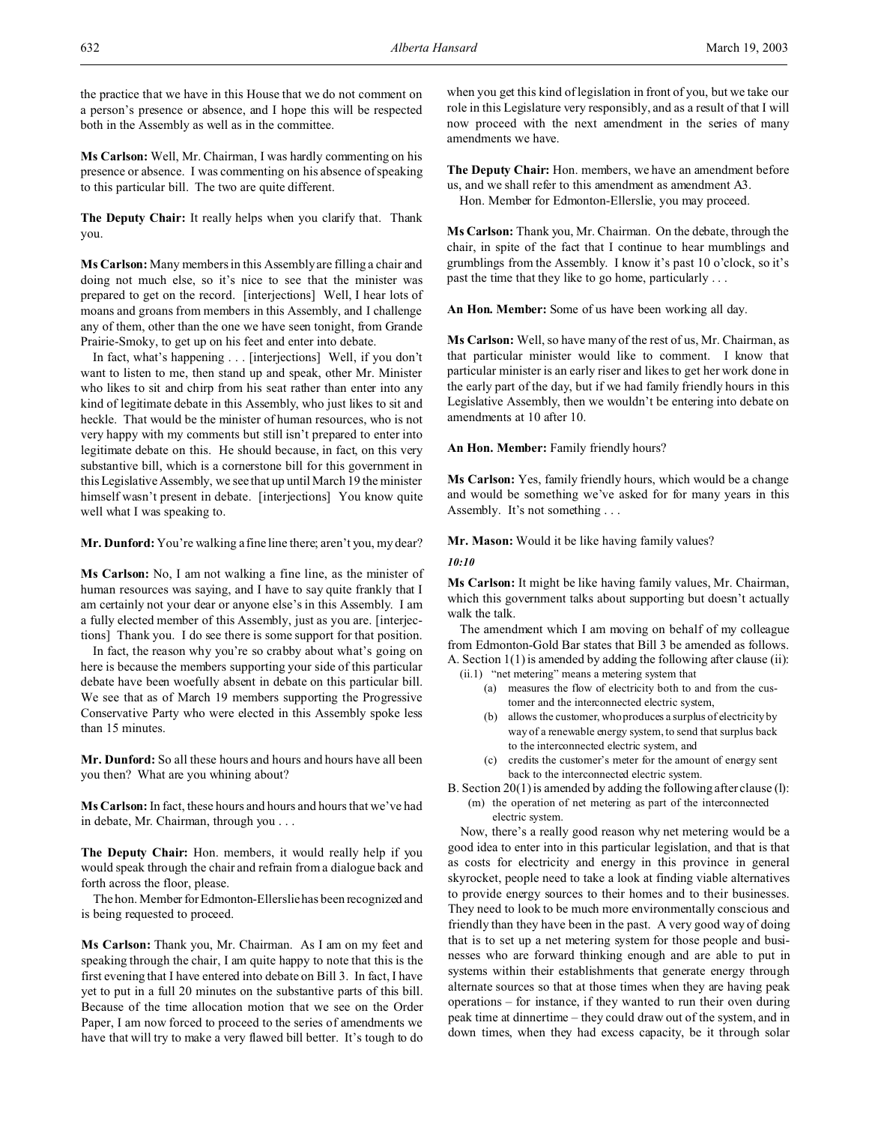the practice that we have in this House that we do not comment on a person's presence or absence, and I hope this will be respected both in the Assembly as well as in the committee.

**Ms Carlson:** Well, Mr. Chairman, I was hardly commenting on his presence or absence. I was commenting on his absence of speaking to this particular bill. The two are quite different.

**The Deputy Chair:** It really helps when you clarify that. Thank you.

**Ms Carlson:** Many members in this Assembly are filling a chair and doing not much else, so it's nice to see that the minister was prepared to get on the record. [interjections] Well, I hear lots of moans and groans from members in this Assembly, and I challenge any of them, other than the one we have seen tonight, from Grande Prairie-Smoky, to get up on his feet and enter into debate.

In fact, what's happening . . . [interjections] Well, if you don't want to listen to me, then stand up and speak, other Mr. Minister who likes to sit and chirp from his seat rather than enter into any kind of legitimate debate in this Assembly, who just likes to sit and heckle. That would be the minister of human resources, who is not very happy with my comments but still isn't prepared to enter into legitimate debate on this. He should because, in fact, on this very substantive bill, which is a cornerstone bill for this government in this Legislative Assembly, we see that up until March 19 the minister himself wasn't present in debate. [interjections] You know quite well what I was speaking to.

**Mr. Dunford:** You're walking a fine line there; aren't you, my dear?

**Ms Carlson:** No, I am not walking a fine line, as the minister of human resources was saying, and I have to say quite frankly that I am certainly not your dear or anyone else's in this Assembly. I am a fully elected member of this Assembly, just as you are. [interjections] Thank you. I do see there is some support for that position.

In fact, the reason why you're so crabby about what's going on here is because the members supporting your side of this particular debate have been woefully absent in debate on this particular bill. We see that as of March 19 members supporting the Progressive Conservative Party who were elected in this Assembly spoke less than 15 minutes.

**Mr. Dunford:** So all these hours and hours and hours have all been you then? What are you whining about?

**Ms Carlson:** In fact, these hours and hours and hours that we've had in debate, Mr. Chairman, through you . . .

**The Deputy Chair:** Hon. members, it would really help if you would speak through the chair and refrain from a dialogue back and forth across the floor, please.

The hon. Member for Edmonton-Ellerslie has been recognized and is being requested to proceed.

**Ms Carlson:** Thank you, Mr. Chairman. As I am on my feet and speaking through the chair, I am quite happy to note that this is the first evening that I have entered into debate on Bill 3. In fact, I have yet to put in a full 20 minutes on the substantive parts of this bill. Because of the time allocation motion that we see on the Order Paper, I am now forced to proceed to the series of amendments we have that will try to make a very flawed bill better. It's tough to do

when you get this kind of legislation in front of you, but we take our role in this Legislature very responsibly, and as a result of that I will now proceed with the next amendment in the series of many amendments we have.

**The Deputy Chair:** Hon. members, we have an amendment before us, and we shall refer to this amendment as amendment A3. Hon. Member for Edmonton-Ellerslie, you may proceed.

**Ms Carlson:** Thank you, Mr. Chairman. On the debate, through the chair, in spite of the fact that I continue to hear mumblings and grumblings from the Assembly. I know it's past 10 o'clock, so it's past the time that they like to go home, particularly . . .

**An Hon. Member:** Some of us have been working all day.

**Ms Carlson:** Well, so have many of the rest of us, Mr. Chairman, as that particular minister would like to comment. I know that particular minister is an early riser and likes to get her work done in the early part of the day, but if we had family friendly hours in this Legislative Assembly, then we wouldn't be entering into debate on amendments at 10 after 10.

**An Hon. Member:** Family friendly hours?

**Ms Carlson:** Yes, family friendly hours, which would be a change and would be something we've asked for for many years in this Assembly. It's not something . . .

**Mr. Mason:** Would it be like having family values?

# *10:10*

**Ms Carlson:** It might be like having family values, Mr. Chairman, which this government talks about supporting but doesn't actually walk the talk.

The amendment which I am moving on behalf of my colleague from Edmonton-Gold Bar states that Bill 3 be amended as follows. A. Section 1(1) is amended by adding the following after clause (ii):

- (ii.1) "net metering" means a metering system that
	- (a) measures the flow of electricity both to and from the customer and the interconnected electric system,
	- (b) allows the customer, who produces a surplus of electricity by way of a renewable energy system, to send that surplus back to the interconnected electric system, and
	- (c) credits the customer's meter for the amount of energy sent back to the interconnected electric system.
- B. Section 20(1) is amended by adding the following after clause (l):
	- (m) the operation of net metering as part of the interconnected electric system.

Now, there's a really good reason why net metering would be a good idea to enter into in this particular legislation, and that is that as costs for electricity and energy in this province in general skyrocket, people need to take a look at finding viable alternatives to provide energy sources to their homes and to their businesses. They need to look to be much more environmentally conscious and friendly than they have been in the past. A very good way of doing that is to set up a net metering system for those people and businesses who are forward thinking enough and are able to put in systems within their establishments that generate energy through alternate sources so that at those times when they are having peak operations – for instance, if they wanted to run their oven during peak time at dinnertime – they could draw out of the system, and in down times, when they had excess capacity, be it through solar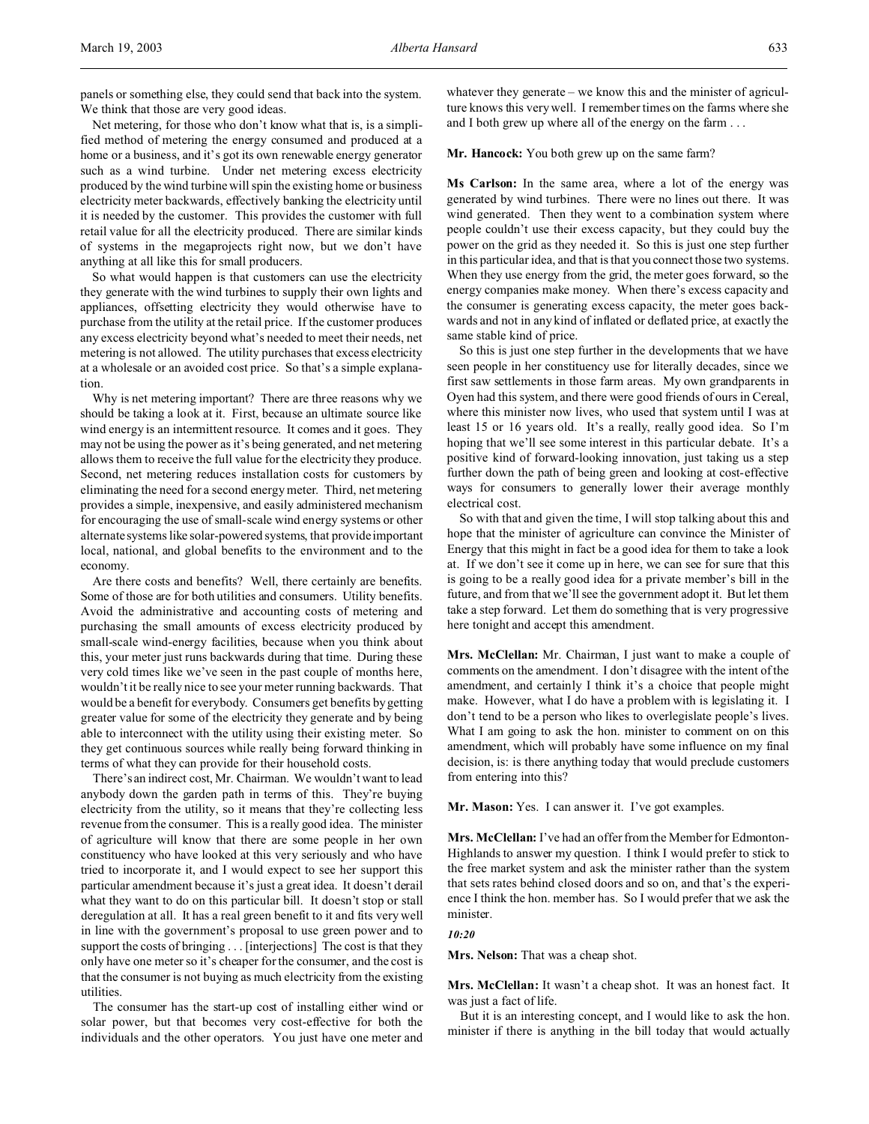panels or something else, they could send that back into the system. We think that those are very good ideas.

Net metering, for those who don't know what that is, is a simplified method of metering the energy consumed and produced at a home or a business, and it's got its own renewable energy generator such as a wind turbine. Under net metering excess electricity produced by the wind turbine will spin the existing home or business electricity meter backwards, effectively banking the electricity until it is needed by the customer. This provides the customer with full retail value for all the electricity produced. There are similar kinds of systems in the megaprojects right now, but we don't have anything at all like this for small producers.

So what would happen is that customers can use the electricity they generate with the wind turbines to supply their own lights and appliances, offsetting electricity they would otherwise have to purchase from the utility at the retail price. If the customer produces any excess electricity beyond what's needed to meet their needs, net metering is not allowed. The utility purchases that excess electricity at a wholesale or an avoided cost price. So that's a simple explanation.

Why is net metering important? There are three reasons why we should be taking a look at it. First, because an ultimate source like wind energy is an intermittent resource. It comes and it goes. They may not be using the power as it's being generated, and net metering allows them to receive the full value for the electricity they produce. Second, net metering reduces installation costs for customers by eliminating the need for a second energy meter. Third, net metering provides a simple, inexpensive, and easily administered mechanism for encouraging the use of small-scale wind energy systems or other alternate systems like solar-powered systems, that provide important local, national, and global benefits to the environment and to the economy.

Are there costs and benefits? Well, there certainly are benefits. Some of those are for both utilities and consumers. Utility benefits. Avoid the administrative and accounting costs of metering and purchasing the small amounts of excess electricity produced by small-scale wind-energy facilities, because when you think about this, your meter just runs backwards during that time. During these very cold times like we've seen in the past couple of months here, wouldn't it be really nice to see your meter running backwards. That would be a benefit for everybody. Consumers get benefits by getting greater value for some of the electricity they generate and by being able to interconnect with the utility using their existing meter. So they get continuous sources while really being forward thinking in terms of what they can provide for their household costs.

There's an indirect cost, Mr. Chairman. We wouldn't want to lead anybody down the garden path in terms of this. They're buying electricity from the utility, so it means that they're collecting less revenue from the consumer. This is a really good idea. The minister of agriculture will know that there are some people in her own constituency who have looked at this very seriously and who have tried to incorporate it, and I would expect to see her support this particular amendment because it's just a great idea. It doesn't derail what they want to do on this particular bill. It doesn't stop or stall deregulation at all. It has a real green benefit to it and fits very well in line with the government's proposal to use green power and to support the costs of bringing . . . [interjections] The cost is that they only have one meter so it's cheaper for the consumer, and the cost is that the consumer is not buying as much electricity from the existing utilities.

The consumer has the start-up cost of installing either wind or solar power, but that becomes very cost-effective for both the individuals and the other operators. You just have one meter and whatever they generate – we know this and the minister of agriculture knows this very well. I remember times on the farms where she and I both grew up where all of the energy on the farm . . .

**Mr. Hancock:** You both grew up on the same farm?

**Ms Carlson:** In the same area, where a lot of the energy was generated by wind turbines. There were no lines out there. It was wind generated. Then they went to a combination system where people couldn't use their excess capacity, but they could buy the power on the grid as they needed it. So this is just one step further in this particular idea, and that is that you connect those two systems. When they use energy from the grid, the meter goes forward, so the energy companies make money. When there's excess capacity and the consumer is generating excess capacity, the meter goes backwards and not in any kind of inflated or deflated price, at exactly the same stable kind of price.

So this is just one step further in the developments that we have seen people in her constituency use for literally decades, since we first saw settlements in those farm areas. My own grandparents in Oyen had this system, and there were good friends of ours in Cereal, where this minister now lives, who used that system until I was at least 15 or 16 years old. It's a really, really good idea. So I'm hoping that we'll see some interest in this particular debate. It's a positive kind of forward-looking innovation, just taking us a step further down the path of being green and looking at cost-effective ways for consumers to generally lower their average monthly electrical cost.

So with that and given the time, I will stop talking about this and hope that the minister of agriculture can convince the Minister of Energy that this might in fact be a good idea for them to take a look at. If we don't see it come up in here, we can see for sure that this is going to be a really good idea for a private member's bill in the future, and from that we'll see the government adopt it. But let them take a step forward. Let them do something that is very progressive here tonight and accept this amendment.

**Mrs. McClellan:** Mr. Chairman, I just want to make a couple of comments on the amendment. I don't disagree with the intent of the amendment, and certainly I think it's a choice that people might make. However, what I do have a problem with is legislating it. I don't tend to be a person who likes to overlegislate people's lives. What I am going to ask the hon. minister to comment on on this amendment, which will probably have some influence on my final decision, is: is there anything today that would preclude customers from entering into this?

**Mr. Mason:** Yes. I can answer it. I've got examples.

**Mrs. McClellan:** I've had an offer from the Member for Edmonton-Highlands to answer my question. I think I would prefer to stick to the free market system and ask the minister rather than the system that sets rates behind closed doors and so on, and that's the experience I think the hon. member has. So I would prefer that we ask the minister.

# *10:20*

**Mrs. Nelson:** That was a cheap shot.

**Mrs. McClellan:** It wasn't a cheap shot. It was an honest fact. It was just a fact of life.

But it is an interesting concept, and I would like to ask the hon. minister if there is anything in the bill today that would actually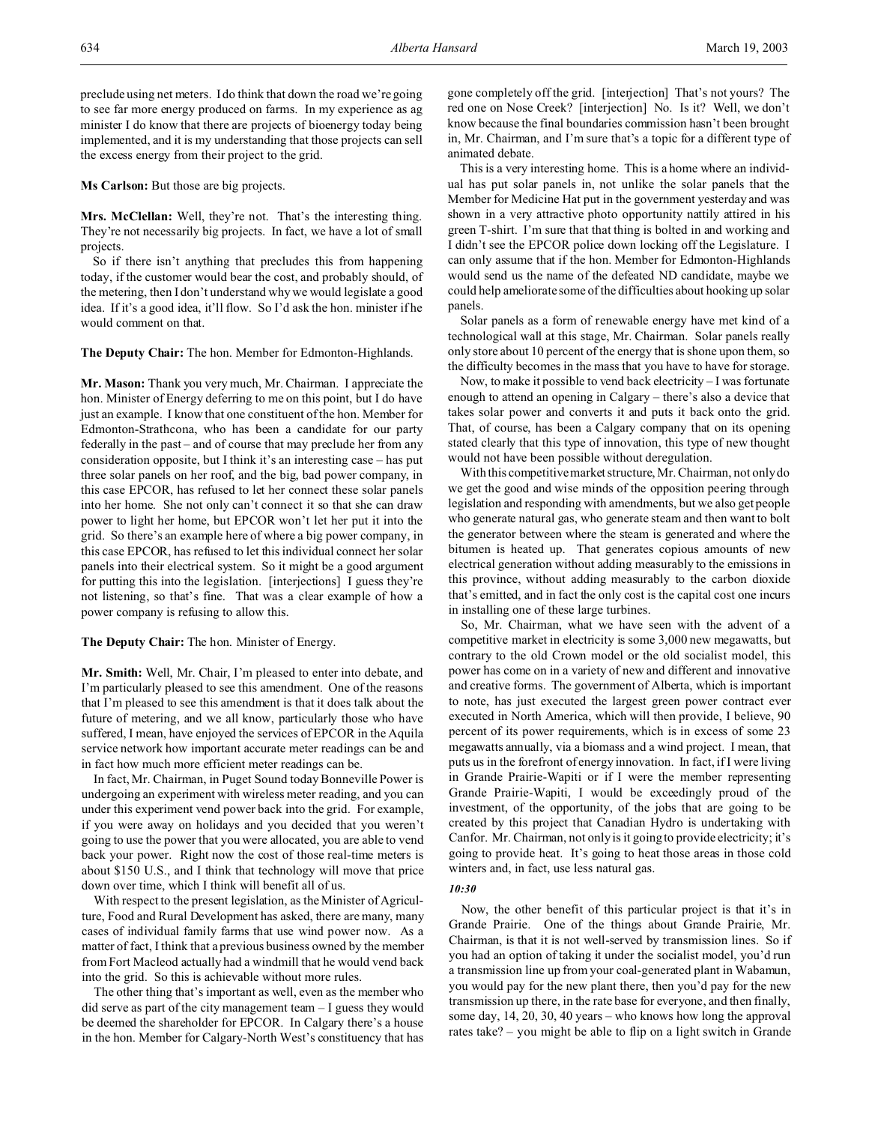preclude using net meters. I do think that down the road we're going to see far more energy produced on farms. In my experience as ag minister I do know that there are projects of bioenergy today being implemented, and it is my understanding that those projects can sell the excess energy from their project to the grid.

**Ms Carlson:** But those are big projects.

**Mrs. McClellan:** Well, they're not. That's the interesting thing. They're not necessarily big projects. In fact, we have a lot of small projects.

So if there isn't anything that precludes this from happening today, if the customer would bear the cost, and probably should, of the metering, then I don't understand why we would legislate a good idea. If it's a good idea, it'll flow. So I'd ask the hon. minister if he would comment on that.

**The Deputy Chair:** The hon. Member for Edmonton-Highlands.

**Mr. Mason:** Thank you very much, Mr. Chairman. I appreciate the hon. Minister of Energy deferring to me on this point, but I do have just an example. I know that one constituent of the hon. Member for Edmonton-Strathcona, who has been a candidate for our party federally in the past – and of course that may preclude her from any consideration opposite, but I think it's an interesting case – has put three solar panels on her roof, and the big, bad power company, in this case EPCOR, has refused to let her connect these solar panels into her home. She not only can't connect it so that she can draw power to light her home, but EPCOR won't let her put it into the grid. So there's an example here of where a big power company, in this case EPCOR, has refused to let this individual connect her solar panels into their electrical system. So it might be a good argument for putting this into the legislation. [interjections] I guess they're not listening, so that's fine. That was a clear example of how a power company is refusing to allow this.

**The Deputy Chair:** The hon. Minister of Energy.

**Mr. Smith:** Well, Mr. Chair, I'm pleased to enter into debate, and I'm particularly pleased to see this amendment. One of the reasons that I'm pleased to see this amendment is that it does talk about the future of metering, and we all know, particularly those who have suffered, I mean, have enjoyed the services of EPCOR in the Aquila service network how important accurate meter readings can be and in fact how much more efficient meter readings can be.

In fact, Mr. Chairman, in Puget Sound today Bonneville Power is undergoing an experiment with wireless meter reading, and you can under this experiment vend power back into the grid. For example, if you were away on holidays and you decided that you weren't going to use the power that you were allocated, you are able to vend back your power. Right now the cost of those real-time meters is about \$150 U.S., and I think that technology will move that price down over time, which I think will benefit all of us.

With respect to the present legislation, as the Minister of Agriculture, Food and Rural Development has asked, there are many, many cases of individual family farms that use wind power now. As a matter of fact, I think that a previous business owned by the member from Fort Macleod actually had a windmill that he would vend back into the grid. So this is achievable without more rules.

The other thing that's important as well, even as the member who did serve as part of the city management team – I guess they would be deemed the shareholder for EPCOR. In Calgary there's a house in the hon. Member for Calgary-North West's constituency that has gone completely off the grid. [interjection] That's not yours? The red one on Nose Creek? [interjection] No. Is it? Well, we don't know because the final boundaries commission hasn't been brought in, Mr. Chairman, and I'm sure that's a topic for a different type of animated debate.

This is a very interesting home. This is a home where an individual has put solar panels in, not unlike the solar panels that the Member for Medicine Hat put in the government yesterday and was shown in a very attractive photo opportunity nattily attired in his green T-shirt. I'm sure that that thing is bolted in and working and I didn't see the EPCOR police down locking off the Legislature. I can only assume that if the hon. Member for Edmonton-Highlands would send us the name of the defeated ND candidate, maybe we could help ameliorate some of the difficulties about hooking up solar panels.

Solar panels as a form of renewable energy have met kind of a technological wall at this stage, Mr. Chairman. Solar panels really only store about 10 percent of the energy that is shone upon them, so the difficulty becomes in the mass that you have to have for storage.

Now, to make it possible to vend back electricity – I was fortunate enough to attend an opening in Calgary – there's also a device that takes solar power and converts it and puts it back onto the grid. That, of course, has been a Calgary company that on its opening stated clearly that this type of innovation, this type of new thought would not have been possible without deregulation.

With this competitive market structure, Mr. Chairman, not only do we get the good and wise minds of the opposition peering through legislation and responding with amendments, but we also get people who generate natural gas, who generate steam and then want to bolt the generator between where the steam is generated and where the bitumen is heated up. That generates copious amounts of new electrical generation without adding measurably to the emissions in this province, without adding measurably to the carbon dioxide that's emitted, and in fact the only cost is the capital cost one incurs in installing one of these large turbines.

So, Mr. Chairman, what we have seen with the advent of a competitive market in electricity is some 3,000 new megawatts, but contrary to the old Crown model or the old socialist model, this power has come on in a variety of new and different and innovative and creative forms. The government of Alberta, which is important to note, has just executed the largest green power contract ever executed in North America, which will then provide, I believe, 90 percent of its power requirements, which is in excess of some 23 megawatts annually, via a biomass and a wind project. I mean, that puts us in the forefront of energy innovation. In fact, if I were living in Grande Prairie-Wapiti or if I were the member representing Grande Prairie-Wapiti, I would be exceedingly proud of the investment, of the opportunity, of the jobs that are going to be created by this project that Canadian Hydro is undertaking with Canfor. Mr. Chairman, not only is it going to provide electricity; it's going to provide heat. It's going to heat those areas in those cold winters and, in fact, use less natural gas.

### *10:30*

Now, the other benefit of this particular project is that it's in Grande Prairie. One of the things about Grande Prairie, Mr. Chairman, is that it is not well-served by transmission lines. So if you had an option of taking it under the socialist model, you'd run a transmission line up from your coal-generated plant in Wabamun, you would pay for the new plant there, then you'd pay for the new transmission up there, in the rate base for everyone, and then finally, some day, 14, 20, 30, 40 years – who knows how long the approval rates take? – you might be able to flip on a light switch in Grande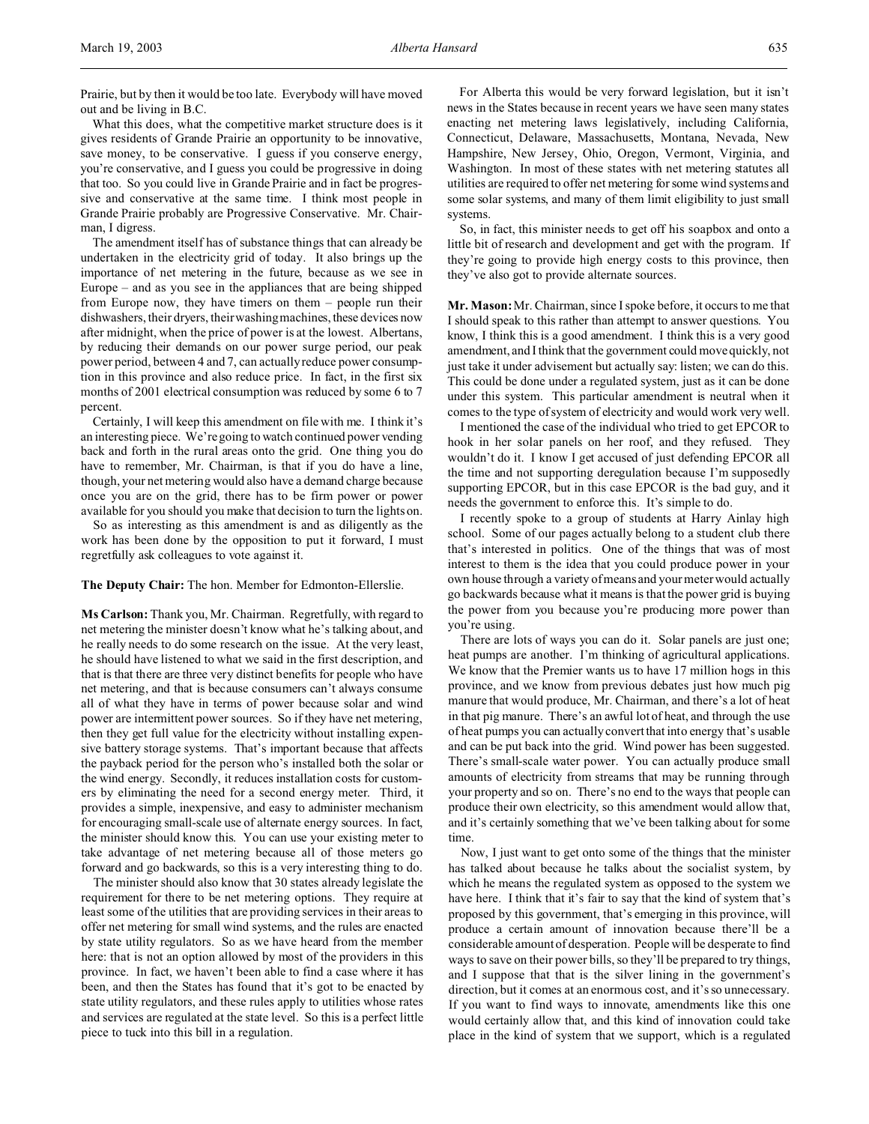Prairie, but by then it would be too late. Everybody will have moved out and be living in B.C.

What this does, what the competitive market structure does is it gives residents of Grande Prairie an opportunity to be innovative, save money, to be conservative. I guess if you conserve energy, you're conservative, and I guess you could be progressive in doing that too. So you could live in Grande Prairie and in fact be progressive and conservative at the same time. I think most people in Grande Prairie probably are Progressive Conservative. Mr. Chairman, I digress.

The amendment itself has of substance things that can already be undertaken in the electricity grid of today. It also brings up the importance of net metering in the future, because as we see in Europe – and as you see in the appliances that are being shipped from Europe now, they have timers on them – people run their dishwashers, their dryers, their washing machines, these devices now after midnight, when the price of power is at the lowest. Albertans, by reducing their demands on our power surge period, our peak power period, between 4 and 7, can actually reduce power consumption in this province and also reduce price. In fact, in the first six months of 2001 electrical consumption was reduced by some 6 to 7 percent.

Certainly, I will keep this amendment on file with me. I think it's an interesting piece. We're going to watch continued power vending back and forth in the rural areas onto the grid. One thing you do have to remember, Mr. Chairman, is that if you do have a line, though, your net metering would also have a demand charge because once you are on the grid, there has to be firm power or power available for you should you make that decision to turn the lights on.

So as interesting as this amendment is and as diligently as the work has been done by the opposition to put it forward, I must regretfully ask colleagues to vote against it.

**The Deputy Chair:** The hon. Member for Edmonton-Ellerslie.

**Ms Carlson:** Thank you, Mr. Chairman. Regretfully, with regard to net metering the minister doesn't know what he's talking about, and he really needs to do some research on the issue. At the very least, he should have listened to what we said in the first description, and that is that there are three very distinct benefits for people who have net metering, and that is because consumers can't always consume all of what they have in terms of power because solar and wind power are intermittent power sources. So if they have net metering, then they get full value for the electricity without installing expensive battery storage systems. That's important because that affects the payback period for the person who's installed both the solar or the wind energy. Secondly, it reduces installation costs for customers by eliminating the need for a second energy meter. Third, it provides a simple, inexpensive, and easy to administer mechanism for encouraging small-scale use of alternate energy sources. In fact, the minister should know this. You can use your existing meter to take advantage of net metering because all of those meters go forward and go backwards, so this is a very interesting thing to do.

The minister should also know that 30 states already legislate the requirement for there to be net metering options. They require at least some of the utilities that are providing services in their areas to offer net metering for small wind systems, and the rules are enacted by state utility regulators. So as we have heard from the member here: that is not an option allowed by most of the providers in this province. In fact, we haven't been able to find a case where it has been, and then the States has found that it's got to be enacted by state utility regulators, and these rules apply to utilities whose rates and services are regulated at the state level. So this is a perfect little piece to tuck into this bill in a regulation.

For Alberta this would be very forward legislation, but it isn't news in the States because in recent years we have seen many states enacting net metering laws legislatively, including California, Connecticut, Delaware, Massachusetts, Montana, Nevada, New Hampshire, New Jersey, Ohio, Oregon, Vermont, Virginia, and Washington. In most of these states with net metering statutes all utilities are required to offer net metering for some wind systems and some solar systems, and many of them limit eligibility to just small systems.

So, in fact, this minister needs to get off his soapbox and onto a little bit of research and development and get with the program. If they're going to provide high energy costs to this province, then they've also got to provide alternate sources.

**Mr. Mason:** Mr. Chairman, since I spoke before, it occurs to me that I should speak to this rather than attempt to answer questions. You know, I think this is a good amendment. I think this is a very good amendment, and I think that the government could move quickly, not just take it under advisement but actually say: listen; we can do this. This could be done under a regulated system, just as it can be done under this system. This particular amendment is neutral when it comes to the type of system of electricity and would work very well.

I mentioned the case of the individual who tried to get EPCOR to hook in her solar panels on her roof, and they refused. They wouldn't do it. I know I get accused of just defending EPCOR all the time and not supporting deregulation because I'm supposedly supporting EPCOR, but in this case EPCOR is the bad guy, and it needs the government to enforce this. It's simple to do.

I recently spoke to a group of students at Harry Ainlay high school. Some of our pages actually belong to a student club there that's interested in politics. One of the things that was of most interest to them is the idea that you could produce power in your own house through a variety of means and your meter would actually go backwards because what it means is that the power grid is buying the power from you because you're producing more power than you're using.

There are lots of ways you can do it. Solar panels are just one; heat pumps are another. I'm thinking of agricultural applications. We know that the Premier wants us to have 17 million hogs in this province, and we know from previous debates just how much pig manure that would produce, Mr. Chairman, and there's a lot of heat in that pig manure. There's an awful lot of heat, and through the use of heat pumps you can actually convert that into energy that's usable and can be put back into the grid. Wind power has been suggested. There's small-scale water power. You can actually produce small amounts of electricity from streams that may be running through your property and so on. There's no end to the ways that people can produce their own electricity, so this amendment would allow that, and it's certainly something that we've been talking about for some time.

Now, I just want to get onto some of the things that the minister has talked about because he talks about the socialist system, by which he means the regulated system as opposed to the system we have here. I think that it's fair to say that the kind of system that's proposed by this government, that's emerging in this province, will produce a certain amount of innovation because there'll be a considerable amount of desperation. People will be desperate to find ways to save on their power bills, so they'll be prepared to try things, and I suppose that that is the silver lining in the government's direction, but it comes at an enormous cost, and it's so unnecessary. If you want to find ways to innovate, amendments like this one would certainly allow that, and this kind of innovation could take place in the kind of system that we support, which is a regulated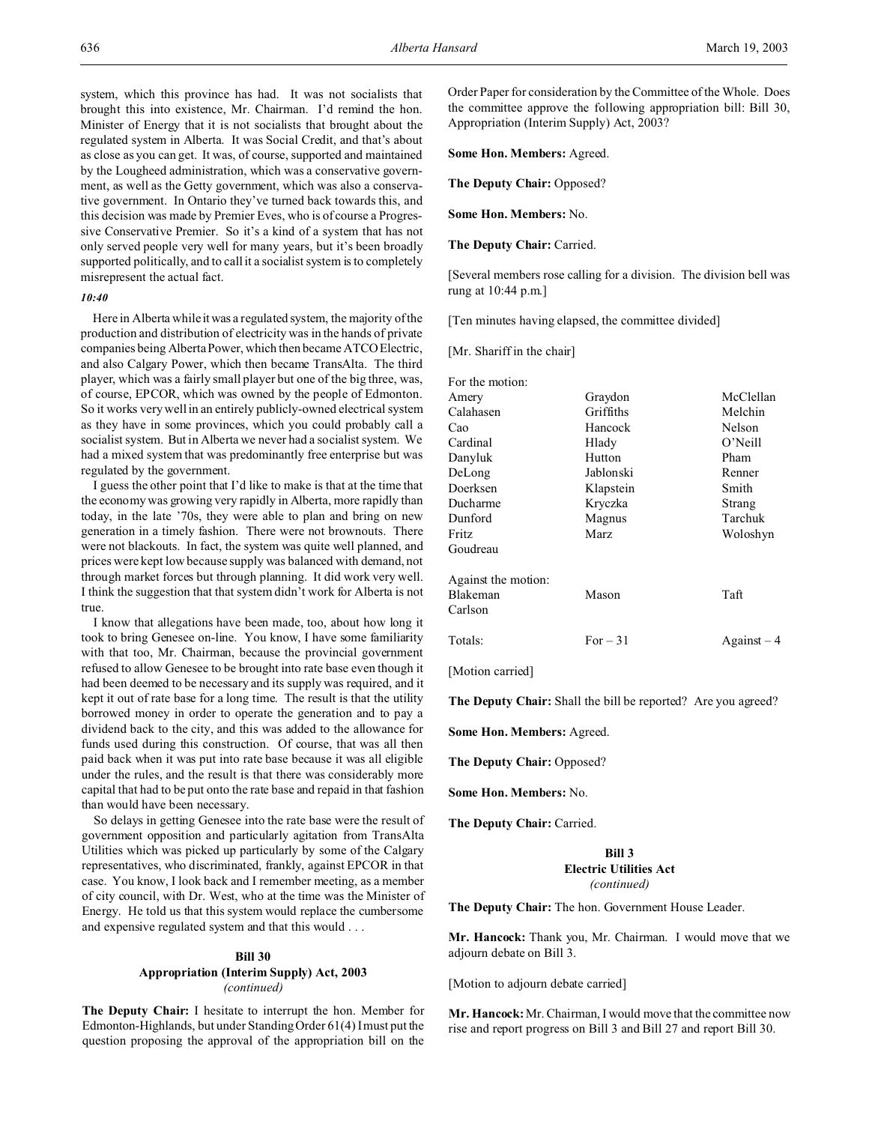system, which this province has had. It was not socialists that brought this into existence, Mr. Chairman. I'd remind the hon. Minister of Energy that it is not socialists that brought about the regulated system in Alberta. It was Social Credit, and that's about as close as you can get. It was, of course, supported and maintained by the Lougheed administration, which was a conservative government, as well as the Getty government, which was also a conservative government. In Ontario they've turned back towards this, and this decision was made by Premier Eves, who is of course a Progressive Conservative Premier. So it's a kind of a system that has not only served people very well for many years, but it's been broadly supported politically, and to call it a socialist system is to completely misrepresent the actual fact.

## *10:40*

Here in Alberta while it was a regulated system, the majority of the production and distribution of electricity was in the hands of private companies being Alberta Power, which then became ATCO Electric, and also Calgary Power, which then became TransAlta. The third player, which was a fairly small player but one of the big three, was, of course, EPCOR, which was owned by the people of Edmonton. So it works very well in an entirely publicly-owned electrical system as they have in some provinces, which you could probably call a socialist system. But in Alberta we never had a socialist system. We had a mixed system that was predominantly free enterprise but was regulated by the government.

I guess the other point that I'd like to make is that at the time that the economy was growing very rapidly in Alberta, more rapidly than today, in the late '70s, they were able to plan and bring on new generation in a timely fashion. There were not brownouts. There were not blackouts. In fact, the system was quite well planned, and prices were kept low because supply was balanced with demand, not through market forces but through planning. It did work very well. I think the suggestion that that system didn't work for Alberta is not true.

I know that allegations have been made, too, about how long it took to bring Genesee on-line. You know, I have some familiarity with that too, Mr. Chairman, because the provincial government refused to allow Genesee to be brought into rate base even though it had been deemed to be necessary and its supply was required, and it kept it out of rate base for a long time. The result is that the utility borrowed money in order to operate the generation and to pay a dividend back to the city, and this was added to the allowance for funds used during this construction. Of course, that was all then paid back when it was put into rate base because it was all eligible under the rules, and the result is that there was considerably more capital that had to be put onto the rate base and repaid in that fashion than would have been necessary.

So delays in getting Genesee into the rate base were the result of government opposition and particularly agitation from TransAlta Utilities which was picked up particularly by some of the Calgary representatives, who discriminated, frankly, against EPCOR in that case. You know, I look back and I remember meeting, as a member of city council, with Dr. West, who at the time was the Minister of Energy. He told us that this system would replace the cumbersome and expensive regulated system and that this would . . .

# **Bill 30 Appropriation (Interim Supply) Act, 2003** *(continued)*

**The Deputy Chair:** I hesitate to interrupt the hon. Member for Edmonton-Highlands, but under Standing Order 61(4) I must put the question proposing the approval of the appropriation bill on the

Order Paper for consideration by the Committee of the Whole. Does the committee approve the following appropriation bill: Bill 30, Appropriation (Interim Supply) Act, 2003?

**Some Hon. Members:** Agreed.

**The Deputy Chair:** Opposed?

**Some Hon. Members:** No.

**The Deputy Chair:** Carried.

[Several members rose calling for a division. The division bell was rung at 10:44 p.m.]

[Ten minutes having elapsed, the committee divided]

[Mr. Shariff in the chair]

| For the motion:     |           |                    |
|---------------------|-----------|--------------------|
| Amery               | Graydon   | McClellan          |
| Calahasen           | Griffiths | Melchin            |
| Cao                 | Hancock   | Nelson             |
| Cardinal            | Hlady     | O'Neill            |
| Danyluk             | Hutton    | Pham               |
| DeLong              | Jablonski | Renner             |
| Doerksen            | Klapstein | Smith              |
| Ducharme            | Kryczka   | Strang             |
| Dunford             | Magnus    | Tarchuk            |
| Fritz               | Marz      | Woloshyn           |
| Goudreau            |           |                    |
| Against the motion: |           |                    |
| Blakeman            | Mason     | Taft               |
| Carlson             |           |                    |
| Totals:             | For $-31$ | $\text{Again}$ = 4 |
|                     |           |                    |

[Motion carried]

**The Deputy Chair:** Shall the bill be reported? Are you agreed?

**Some Hon. Members:** Agreed.

**The Deputy Chair:** Opposed?

**Some Hon. Members:** No.

**The Deputy Chair:** Carried.

# **Bill 3 Electric Utilities Act** *(continued)*

**The Deputy Chair:** The hon. Government House Leader.

**Mr. Hancock:** Thank you, Mr. Chairman. I would move that we adjourn debate on Bill 3.

[Motion to adjourn debate carried]

**Mr. Hancock:** Mr. Chairman, I would move that the committee now rise and report progress on Bill 3 and Bill 27 and report Bill 30.